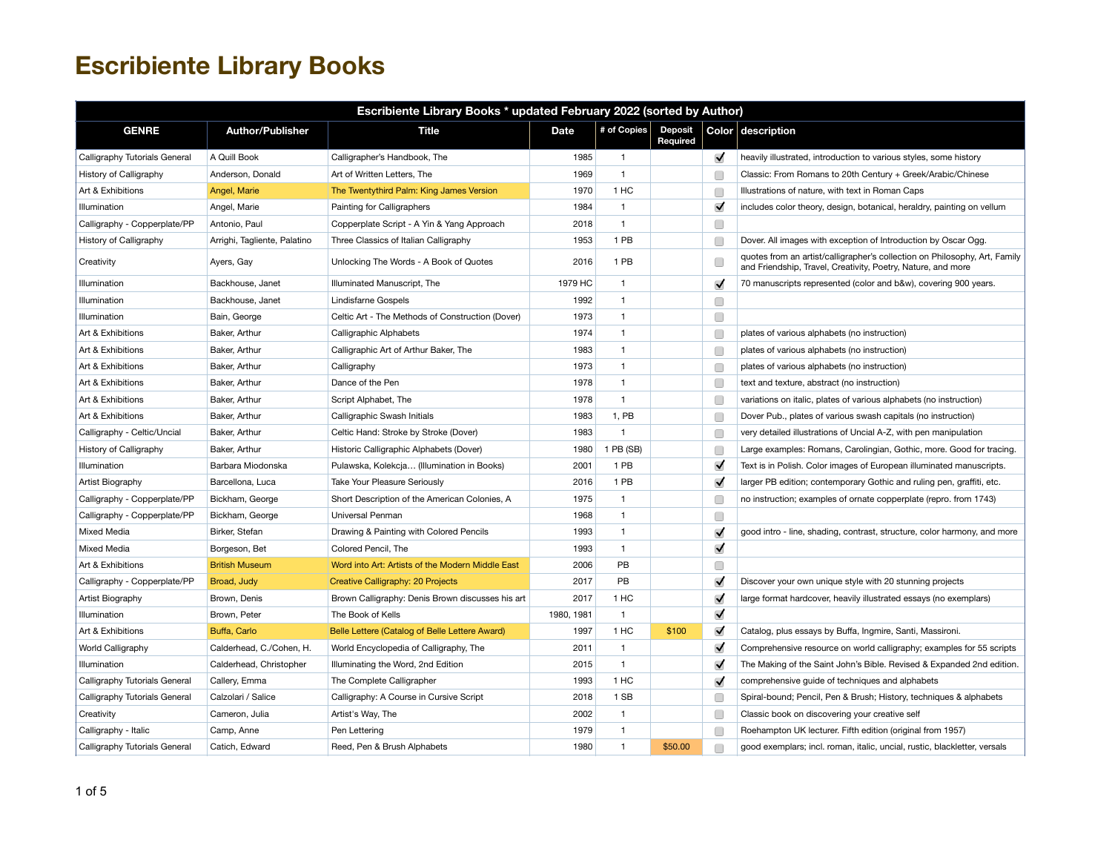| Escribiente Library Books * updated February 2022 (sorted by Author) |                              |                                                  |             |              |                            |                      |                                                                                                                                            |  |  |
|----------------------------------------------------------------------|------------------------------|--------------------------------------------------|-------------|--------------|----------------------------|----------------------|--------------------------------------------------------------------------------------------------------------------------------------------|--|--|
| <b>GENRE</b>                                                         | <b>Author/Publisher</b>      | <b>Title</b>                                     | <b>Date</b> | # of Copies  | <b>Deposit</b><br>Required |                      | Color description                                                                                                                          |  |  |
| Calligraphy Tutorials General                                        | A Quill Book                 | Calligrapher's Handbook, The                     | 1985        | $\mathbf{1}$ |                            | ✓                    | heavily illustrated, introduction to various styles, some history                                                                          |  |  |
| History of Calligraphy                                               | Anderson, Donald             | Art of Written Letters, The                      | 1969        | $\mathbf{1}$ |                            | C                    | Classic: From Romans to 20th Century + Greek/Arabic/Chinese                                                                                |  |  |
| Art & Exhibitions                                                    | Angel, Marie                 | The Twentythird Palm: King James Version         | 1970        | 1 HC         |                            | C                    | Illustrations of nature, with text in Roman Caps                                                                                           |  |  |
| Illumination                                                         | Angel, Marie                 | Painting for Calligraphers                       | 1984        | $\mathbf{1}$ |                            | $\blacktriangledown$ | includes color theory, design, botanical, heraldry, painting on vellum                                                                     |  |  |
| Calligraphy - Copperplate/PP                                         | Antonio, Paul                | Copperplate Script - A Yin & Yang Approach       | 2018        | $\mathbf{1}$ |                            | C                    |                                                                                                                                            |  |  |
| History of Calligraphy                                               | Arrighi, Tagliente, Palatino | Three Classics of Italian Calligraphy            | 1953        | 1 PB         |                            | Г                    | Dover. All images with exception of Introduction by Oscar Ogg.                                                                             |  |  |
| Creativity                                                           | Ayers, Gay                   | Unlocking The Words - A Book of Quotes           | 2016        | 1 PB         |                            | Г                    | quotes from an artist/calligrapher's collection on Philosophy, Art, Family<br>and Friendship, Travel, Creativity, Poetry, Nature, and more |  |  |
| Illumination                                                         | Backhouse, Janet             | Illuminated Manuscript, The                      | 1979 HC     | $\mathbf{1}$ |                            | $\blacktriangledown$ | 70 manuscripts represented (color and b&w), covering 900 years.                                                                            |  |  |
| Illumination                                                         | Backhouse, Janet             | Lindisfarne Gospels                              | 1992        | $\mathbf{1}$ |                            | $\Box$               |                                                                                                                                            |  |  |
| Illumination                                                         | Bain, George                 | Celtic Art - The Methods of Construction (Dover) | 1973        | $\mathbf{1}$ |                            | Г                    |                                                                                                                                            |  |  |
| Art & Exhibitions                                                    | Baker, Arthur                | Calligraphic Alphabets                           | 1974        | $\mathbf{1}$ |                            | Œ                    | plates of various alphabets (no instruction)                                                                                               |  |  |
| Art & Exhibitions                                                    | Baker, Arthur                | Calligraphic Art of Arthur Baker, The            | 1983        | $\mathbf{1}$ |                            | Œ                    | plates of various alphabets (no instruction)                                                                                               |  |  |
| Art & Exhibitions                                                    | Baker, Arthur                | Calligraphy                                      | 1973        | $\mathbf{1}$ |                            | Œ                    | plates of various alphabets (no instruction)                                                                                               |  |  |
| Art & Exhibitions                                                    | Baker, Arthur                | Dance of the Pen                                 | 1978        | $\mathbf{1}$ |                            | Œ                    | text and texture, abstract (no instruction)                                                                                                |  |  |
| Art & Exhibitions                                                    | Baker, Arthur                | Script Alphabet, The                             | 1978        | $\mathbf{1}$ |                            | Œ                    | variations on italic, plates of various alphabets (no instruction)                                                                         |  |  |
| Art & Exhibitions                                                    | Baker, Arthur                | Calligraphic Swash Initials                      | 1983        | 1, PB        |                            | Œ                    | Dover Pub., plates of various swash capitals (no instruction)                                                                              |  |  |
| Calligraphy - Celtic/Uncial                                          | Baker, Arthur                | Celtic Hand: Stroke by Stroke (Dover)            | 1983        | $\mathbf{1}$ |                            | Œ                    | very detailed illustrations of Uncial A-Z, with pen manipulation                                                                           |  |  |
| History of Calligraphy                                               | Baker, Arthur                | Historic Calligraphic Alphabets (Dover)          | 1980        | 1 PB (SB)    |                            | Г                    | Large examples: Romans, Carolingian, Gothic, more. Good for tracing.                                                                       |  |  |
| Illumination                                                         | Barbara Miodonska            | Pulawska, Kolekcja (Illumination in Books)       | 2001        | 1 PB         |                            | $\blacktriangledown$ | Text is in Polish. Color images of European illuminated manuscripts.                                                                       |  |  |
| Artist Biography                                                     | Barcellona, Luca             | Take Your Pleasure Seriously                     | 2016        | 1 PB         |                            | $\blacktriangledown$ | larger PB edition; contemporary Gothic and ruling pen, graffiti, etc.                                                                      |  |  |
| Calligraphy - Copperplate/PP                                         | Bickham, George              | Short Description of the American Colonies, A    | 1975        | $\mathbf{1}$ |                            | C                    | no instruction; examples of ornate copperplate (repro. from 1743)                                                                          |  |  |
| Calligraphy - Copperplate/PP                                         | Bickham, George              | Universal Penman                                 | 1968        | $\mathbf{1}$ |                            | Г                    |                                                                                                                                            |  |  |
| Mixed Media                                                          | Birker, Stefan               | Drawing & Painting with Colored Pencils          | 1993        | $\mathbf{1}$ |                            | $\blacktriangledown$ | good intro - line, shading, contrast, structure, color harmony, and more                                                                   |  |  |
| Mixed Media                                                          | Borgeson, Bet                | Colored Pencil, The                              | 1993        | $\mathbf{1}$ |                            | $\blacktriangledown$ |                                                                                                                                            |  |  |
| Art & Exhibitions                                                    | <b>British Museum</b>        | Word into Art: Artists of the Modern Middle East | 2006        | PB           |                            | □                    |                                                                                                                                            |  |  |
| Calligraphy - Copperplate/PP                                         | Broad, Judy                  | Creative Calligraphy: 20 Projects                | 2017        | PB           |                            | $\blacktriangledown$ | Discover your own unique style with 20 stunning projects                                                                                   |  |  |
| Artist Biography                                                     | Brown, Denis                 | Brown Calligraphy: Denis Brown discusses his art | 2017        | 1 HC         |                            | $\blacktriangledown$ | large format hardcover, heavily illustrated essays (no exemplars)                                                                          |  |  |
| Illumination                                                         | Brown, Peter                 | The Book of Kells                                | 1980, 1981  | $\mathbf{1}$ |                            | $\blacktriangledown$ |                                                                                                                                            |  |  |
| Art & Exhibitions                                                    | Buffa, Carlo                 | Belle Lettere (Catalog of Belle Lettere Award)   | 1997        | 1 HC         | \$100                      | $\blacktriangledown$ | Catalog, plus essays by Buffa, Ingmire, Santi, Massironi.                                                                                  |  |  |
| World Calligraphy                                                    | Calderhead, C./Cohen, H.     | World Encyclopedia of Calligraphy, The           | 2011        | $\mathbf{1}$ |                            | $\blacktriangledown$ | Comprehensive resource on world calligraphy; examples for 55 scripts                                                                       |  |  |
| Illumination                                                         | Calderhead, Christopher      | Illuminating the Word, 2nd Edition               | 2015        | $\mathbf{1}$ |                            | $\blacktriangledown$ | The Making of the Saint John's Bible. Revised & Expanded 2nd edition.                                                                      |  |  |
| Calligraphy Tutorials General                                        | Callery, Emma                | The Complete Calligrapher                        | 1993        | 1 HC         |                            | $\blacktriangledown$ | comprehensive guide of techniques and alphabets                                                                                            |  |  |
| Calligraphy Tutorials General                                        | Calzolari / Salice           | Calligraphy: A Course in Cursive Script          | 2018        | 1 SB         |                            | C                    | Spiral-bound; Pencil, Pen & Brush; History, techniques & alphabets                                                                         |  |  |
| Creativity                                                           | Cameron, Julia               | Artist's Way, The                                | 2002        | $\mathbf{1}$ |                            | Œ                    | Classic book on discovering your creative self                                                                                             |  |  |
| Calligraphy - Italic                                                 | Camp, Anne                   | Pen Lettering                                    | 1979        | $\mathbf{1}$ |                            | С                    | Roehampton UK lecturer. Fifth edition (original from 1957)                                                                                 |  |  |
| Calligraphy Tutorials General                                        | Catich, Edward               | Reed, Pen & Brush Alphabets                      | 1980        | $\mathbf{1}$ | \$50.00                    | Г                    | good exemplars; incl. roman, italic, uncial, rustic, blackletter, versals                                                                  |  |  |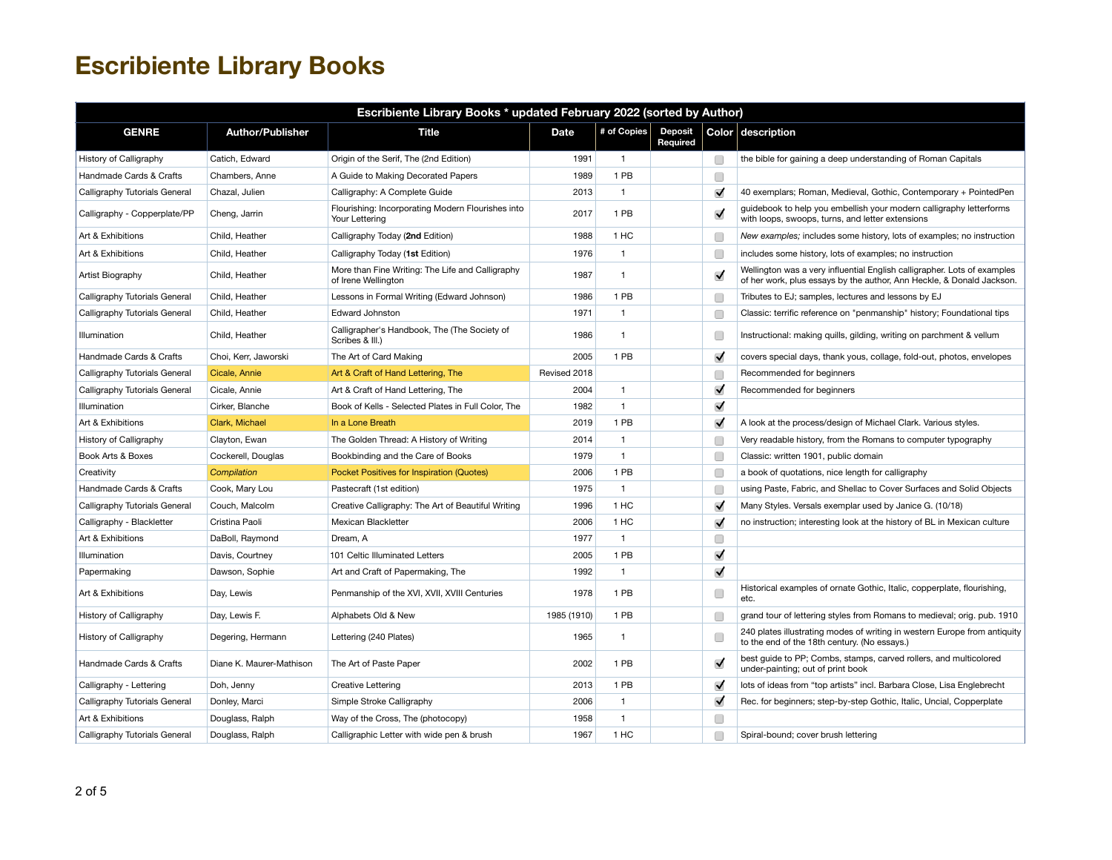| Escribiente Library Books * updated February 2022 (sorted by Author) |                          |                                                                         |              |              |                            |                      |                                                                                                                                                   |  |  |  |
|----------------------------------------------------------------------|--------------------------|-------------------------------------------------------------------------|--------------|--------------|----------------------------|----------------------|---------------------------------------------------------------------------------------------------------------------------------------------------|--|--|--|
| <b>GENRE</b>                                                         | <b>Author/Publisher</b>  | <b>Title</b>                                                            | <b>Date</b>  | # of Copies  | <b>Deposit</b><br>Required |                      | Color description                                                                                                                                 |  |  |  |
| History of Calligraphy                                               | Catich, Edward           | Origin of the Serif, The (2nd Edition)                                  | 1991         | $\mathbf{1}$ |                            | O                    | the bible for gaining a deep understanding of Roman Capitals                                                                                      |  |  |  |
| Handmade Cards & Crafts                                              | Chambers, Anne           | A Guide to Making Decorated Papers                                      | 1989         | 1 PB         |                            | □                    |                                                                                                                                                   |  |  |  |
| Calligraphy Tutorials General                                        | Chazal, Julien           | Calligraphy: A Complete Guide                                           | 2013         | $\mathbf{1}$ |                            | $\blacktriangledown$ | 40 exemplars; Roman, Medieval, Gothic, Contemporary + PointedPen                                                                                  |  |  |  |
| Calligraphy - Copperplate/PP                                         | Cheng, Jarrin            | Flourishing: Incorporating Modern Flourishes into<br>Your Lettering     | 2017         | 1 PB         |                            | $\blacktriangledown$ | guidebook to help you embellish your modern calligraphy letterforms<br>with loops, swoops, turns, and letter extensions                           |  |  |  |
| Art & Exhibitions                                                    | Child, Heather           | Calligraphy Today (2nd Edition)                                         | 1988         | 1 HC         |                            | Г                    | New examples; includes some history, lots of examples; no instruction                                                                             |  |  |  |
| Art & Exhibitions                                                    | Child, Heather           | Calligraphy Today (1st Edition)                                         | 1976         | $\mathbf{1}$ |                            | Œ                    | includes some history, lots of examples; no instruction                                                                                           |  |  |  |
| Artist Biography                                                     | Child, Heather           | More than Fine Writing: The Life and Calligraphy<br>of Irene Wellington | 1987         | $\mathbf{1}$ |                            | $\blacktriangledown$ | Wellington was a very influential English calligrapher. Lots of examples<br>of her work, plus essays by the author, Ann Heckle, & Donald Jackson. |  |  |  |
| Calligraphy Tutorials General                                        | Child, Heather           | Lessons in Formal Writing (Edward Johnson)                              | 1986         | 1 PB         |                            | C                    | Tributes to EJ; samples, lectures and lessons by EJ                                                                                               |  |  |  |
| Calligraphy Tutorials General                                        | Child, Heather           | <b>Edward Johnston</b>                                                  | 1971         | $\mathbf{1}$ |                            | Œ                    | Classic: terrific reference on "penmanship" history; Foundational tips                                                                            |  |  |  |
| Illumination                                                         | Child, Heather           | Calligrapher's Handbook, The (The Society of<br>Scribes & III.)         | 1986         | $\mathbf{1}$ |                            | Œ                    | Instructional: making quills, gilding, writing on parchment & vellum                                                                              |  |  |  |
| Handmade Cards & Crafts                                              | Choi, Kerr, Jaworski     | The Art of Card Making                                                  | 2005         | 1 PB         |                            | $\blacktriangledown$ | covers special days, thank yous, collage, fold-out, photos, envelopes                                                                             |  |  |  |
| Calligraphy Tutorials General                                        | Cicale, Annie            | Art & Craft of Hand Lettering, The                                      | Revised 2018 |              |                            | Г                    | Recommended for beginners                                                                                                                         |  |  |  |
| Calligraphy Tutorials General                                        | Cicale, Annie            | Art & Craft of Hand Lettering, The                                      | 2004         | $\mathbf{1}$ |                            | $\blacktriangledown$ | Recommended for beginners                                                                                                                         |  |  |  |
| Illumination                                                         | Cirker, Blanche          | Book of Kells - Selected Plates in Full Color, The                      | 1982         | $\mathbf{1}$ |                            | $\blacktriangledown$ |                                                                                                                                                   |  |  |  |
| Art & Exhibitions                                                    | Clark, Michael           | In a Lone Breath                                                        | 2019         | 1 PB         |                            | $\blacktriangledown$ | A look at the process/design of Michael Clark. Various styles.                                                                                    |  |  |  |
| History of Calligraphy                                               | Clayton, Ewan            | The Golden Thread: A History of Writing                                 | 2014         | $\mathbf{1}$ |                            | C                    | Very readable history, from the Romans to computer typography                                                                                     |  |  |  |
| Book Arts & Boxes                                                    | Cockerell, Douglas       | Bookbinding and the Care of Books                                       | 1979         | $\mathbf{1}$ |                            | Œ                    | Classic: written 1901, public domain                                                                                                              |  |  |  |
| Creativity                                                           | Compilation              | Pocket Positives for Inspiration (Quotes)                               | 2006         | 1 PB         |                            | Œ                    | a book of quotations, nice length for calligraphy                                                                                                 |  |  |  |
| Handmade Cards & Crafts                                              | Cook, Mary Lou           | Pastecraft (1st edition)                                                | 1975         | $\mathbf{1}$ |                            | Г                    | using Paste, Fabric, and Shellac to Cover Surfaces and Solid Objects                                                                              |  |  |  |
| Calligraphy Tutorials General                                        | Couch, Malcolm           | Creative Calligraphy: The Art of Beautiful Writing                      | 1996         | 1 HC         |                            | $\blacktriangledown$ | Many Styles. Versals exemplar used by Janice G. (10/18)                                                                                           |  |  |  |
| Calligraphy - Blackletter                                            | Cristina Paoli           | Mexican Blackletter                                                     | 2006         | 1 HC         |                            | $\blacktriangledown$ | no instruction; interesting look at the history of BL in Mexican culture                                                                          |  |  |  |
| Art & Exhibitions                                                    | DaBoll, Raymond          | Dream, A                                                                | 1977         | $\mathbf{1}$ |                            | O                    |                                                                                                                                                   |  |  |  |
| Illumination                                                         | Davis, Courtney          | 101 Celtic Illuminated Letters                                          | 2005         | 1 PB         |                            | ✓                    |                                                                                                                                                   |  |  |  |
| Papermaking                                                          | Dawson, Sophie           | Art and Craft of Papermaking, The                                       | 1992         | $\mathbf{1}$ |                            | $\blacktriangledown$ |                                                                                                                                                   |  |  |  |
| Art & Exhibitions                                                    | Day, Lewis               | Penmanship of the XVI, XVII, XVIII Centuries                            | 1978         | 1 PB         |                            | Г                    | Historical examples of ornate Gothic, Italic, copperplate, flourishing,<br>etc.                                                                   |  |  |  |
| History of Calligraphy                                               | Day, Lewis F.            | Alphabets Old & New                                                     | 1985 (1910)  | 1 PB         |                            | Г                    | grand tour of lettering styles from Romans to medieval; orig. pub. 1910                                                                           |  |  |  |
| History of Calligraphy                                               | Degering, Hermann        | Lettering (240 Plates)                                                  | 1965         | $\mathbf{1}$ |                            | C                    | 240 plates illustrating modes of writing in western Europe from antiquity<br>to the end of the 18th century. (No essays.)                         |  |  |  |
| Handmade Cards & Crafts                                              | Diane K. Maurer-Mathison | The Art of Paste Paper                                                  | 2002         | 1 PB         |                            | $\blacktriangledown$ | best guide to PP; Combs, stamps, carved rollers, and multicolored<br>under-painting; out of print book                                            |  |  |  |
| Calligraphy - Lettering                                              | Doh, Jenny               | Creative Lettering                                                      | 2013         | 1 PB         |                            | $\blacktriangledown$ | lots of ideas from "top artists" incl. Barbara Close, Lisa Englebrecht                                                                            |  |  |  |
| Calligraphy Tutorials General                                        | Donley, Marci            | Simple Stroke Calligraphy                                               | 2006         | $\mathbf{1}$ |                            | √                    | Rec. for beginners; step-by-step Gothic, Italic, Uncial, Copperplate                                                                              |  |  |  |
| Art & Exhibitions                                                    | Douglass, Ralph          | Way of the Cross, The (photocopy)                                       | 1958         | $\mathbf{1}$ |                            | C                    |                                                                                                                                                   |  |  |  |
| Calligraphy Tutorials General                                        | Douglass, Ralph          | Calligraphic Letter with wide pen & brush                               | 1967         | 1 HC         |                            | С                    | Spiral-bound; cover brush lettering                                                                                                               |  |  |  |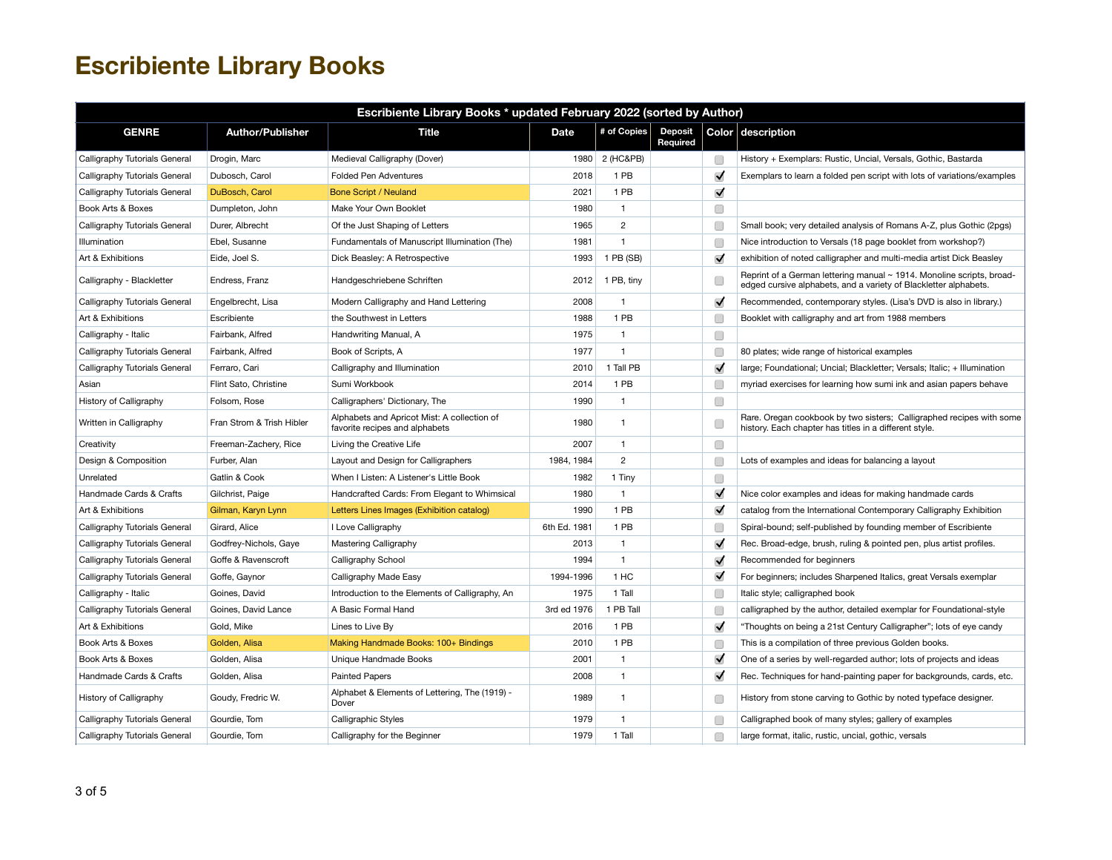| Escribiente Library Books * updated February 2022 (sorted by Author) |                           |                                                                               |              |                |                            |                      |                                                                                                                                           |  |  |
|----------------------------------------------------------------------|---------------------------|-------------------------------------------------------------------------------|--------------|----------------|----------------------------|----------------------|-------------------------------------------------------------------------------------------------------------------------------------------|--|--|
| <b>GENRE</b>                                                         | <b>Author/Publisher</b>   | <b>Title</b>                                                                  | Date         | # of Copies    | <b>Deposit</b><br>Required |                      | Color description                                                                                                                         |  |  |
| Calligraphy Tutorials General                                        | Drogin, Marc              | Medieval Calligraphy (Dover)                                                  | 1980         | 2 (HC&PB)      |                            | $\Box$               | History + Exemplars: Rustic, Uncial, Versals, Gothic, Bastarda                                                                            |  |  |
| Calligraphy Tutorials General                                        | Dubosch, Carol            | <b>Folded Pen Adventures</b>                                                  | 2018         | 1 PB           |                            | $\blacktriangledown$ | Exemplars to learn a folded pen script with lots of variations/examples                                                                   |  |  |
| Calligraphy Tutorials General                                        | DuBosch, Carol            | <b>Bone Script / Neuland</b>                                                  | 2021         | 1 PB           |                            | $\blacktriangledown$ |                                                                                                                                           |  |  |
| Book Arts & Boxes                                                    | Dumpleton, John           | Make Your Own Booklet                                                         | 1980         | $\mathbf{1}$   |                            | $\Box$               |                                                                                                                                           |  |  |
| Calligraphy Tutorials General                                        | Durer, Albrecht           | Of the Just Shaping of Letters                                                | 1965         | $\overline{c}$ |                            | C                    | Small book; very detailed analysis of Romans A-Z, plus Gothic (2pgs)                                                                      |  |  |
| Illumination                                                         | Ebel, Susanne             | Fundamentals of Manuscript Illumination (The)                                 | 1981         | $\mathbf{1}$   |                            | C                    | Nice introduction to Versals (18 page booklet from workshop?)                                                                             |  |  |
| Art & Exhibitions                                                    | Eide, Joel S.             | Dick Beasley: A Retrospective                                                 | 1993         | 1 PB (SB)      |                            | $\blacktriangledown$ | exhibition of noted calligrapher and multi-media artist Dick Beasley                                                                      |  |  |
| Calligraphy - Blackletter                                            | Endress, Franz            | Handgeschriebene Schriften                                                    | 2012         | 1 PB, tiny     |                            | C                    | Reprint of a German lettering manual ~ 1914. Monoline scripts, broad-<br>edged cursive alphabets, and a variety of Blackletter alphabets. |  |  |
| Calligraphy Tutorials General                                        | Engelbrecht, Lisa         | Modern Calligraphy and Hand Lettering                                         | 2008         | $\mathbf{1}$   |                            | $\blacktriangledown$ | Recommended, contemporary styles. (Lisa's DVD is also in library.)                                                                        |  |  |
| Art & Exhibitions                                                    | Escribiente               | the Southwest in Letters                                                      | 1988         | 1 PB           |                            | $\Box$               | Booklet with calligraphy and art from 1988 members                                                                                        |  |  |
| Calligraphy - Italic                                                 | Fairbank, Alfred          | Handwriting Manual, A                                                         | 1975         | $\mathbf{1}$   |                            | $\Box$               |                                                                                                                                           |  |  |
| Calligraphy Tutorials General                                        | Fairbank, Alfred          | Book of Scripts, A                                                            | 1977         | $\mathbf{1}$   |                            | $\Box$               | 80 plates; wide range of historical examples                                                                                              |  |  |
| Calligraphy Tutorials General                                        | Ferraro, Cari             | Calligraphy and Illumination                                                  | 2010         | 1 Tall PB      |                            | $\blacktriangledown$ | large; Foundational; Uncial; Blackletter; Versals; Italic; + Illumination                                                                 |  |  |
| Asian                                                                | Flint Sato, Christine     | Sumi Workbook                                                                 | 2014         | 1 PB           |                            | C                    | myriad exercises for learning how sumi ink and asian papers behave                                                                        |  |  |
| History of Calligraphy                                               | Folsom, Rose              | Calligraphers' Dictionary, The                                                | 1990         | $\mathbf{1}$   |                            | □                    |                                                                                                                                           |  |  |
| Written in Calligraphy                                               | Fran Strom & Trish Hibler | Alphabets and Apricot Mist: A collection of<br>favorite recipes and alphabets | 1980         | $\mathbf{1}$   |                            | C                    | Rare. Oregan cookbook by two sisters; Calligraphed recipes with some<br>history. Each chapter has titles in a different style.            |  |  |
| Creativity                                                           | Freeman-Zachery, Rice     | Living the Creative Life                                                      | 2007         | $\mathbf{1}$   |                            | $\Box$               |                                                                                                                                           |  |  |
| Design & Composition                                                 | Furber, Alan              | Layout and Design for Calligraphers                                           | 1984, 1984   | $\overline{2}$ |                            | С                    | Lots of examples and ideas for balancing a layout                                                                                         |  |  |
| Unrelated                                                            | Gatlin & Cook             | When I Listen: A Listener's Little Book                                       | 1982         | 1 Tiny         |                            | $\Box$               |                                                                                                                                           |  |  |
| Handmade Cards & Crafts                                              | Gilchrist, Paige          | Handcrafted Cards: From Elegant to Whimsical                                  | 1980         | $\mathbf{1}$   |                            | $\blacktriangledown$ | Nice color examples and ideas for making handmade cards                                                                                   |  |  |
| Art & Exhibitions                                                    | Gilman, Karyn Lynn        | Letters Lines Images (Exhibition catalog)                                     | 1990         | 1 PB           |                            | $\blacktriangledown$ | catalog from the International Contemporary Calligraphy Exhibition                                                                        |  |  |
| Calligraphy Tutorials General                                        | Girard, Alice             | I Love Calligraphy                                                            | 6th Ed. 1981 | 1 PB           |                            | Œ                    | Spiral-bound; self-published by founding member of Escribiente                                                                            |  |  |
| Calligraphy Tutorials General                                        | Godfrey-Nichols, Gaye     | Mastering Calligraphy                                                         | 2013         | $\mathbf{1}$   |                            | $\blacktriangledown$ | Rec. Broad-edge, brush, ruling & pointed pen, plus artist profiles.                                                                       |  |  |
| Calligraphy Tutorials General                                        | Goffe & Ravenscroft       | Calligraphy School                                                            | 1994         | $\mathbf{1}$   |                            | $\blacktriangledown$ | Recommended for beginners                                                                                                                 |  |  |
| Calligraphy Tutorials General                                        | Goffe, Gaynor             | Calligraphy Made Easy                                                         | 1994-1996    | 1 HC           |                            | $\blacktriangledown$ | For beginners; includes Sharpened Italics, great Versals exemplar                                                                         |  |  |
| Calligraphy - Italic                                                 | Goines, David             | Introduction to the Elements of Calligraphy, An                               | 1975         | 1 Tall         |                            | C                    | Italic style; calligraphed book                                                                                                           |  |  |
| Calligraphy Tutorials General                                        | Goines, David Lance       | A Basic Formal Hand                                                           | 3rd ed 1976  | 1 PB Tall      |                            | C                    | calligraphed by the author, detailed exemplar for Foundational-style                                                                      |  |  |
| Art & Exhibitions                                                    | Gold, Mike                | Lines to Live By                                                              | 2016         | 1 PB           |                            | $\blacktriangledown$ | "Thoughts on being a 21st Century Calligrapher"; lots of eye candy                                                                        |  |  |
| Book Arts & Boxes                                                    | Golden, Alisa             | Making Handmade Books: 100+ Bindings                                          | 2010         | 1 PB           |                            | С                    | This is a compilation of three previous Golden books.                                                                                     |  |  |
| Book Arts & Boxes                                                    | Golden, Alisa             | Unique Handmade Books                                                         | 2001         | $\mathbf{1}$   |                            | $\blacktriangledown$ | One of a series by well-regarded author; lots of projects and ideas                                                                       |  |  |
| Handmade Cards & Crafts                                              | Golden, Alisa             | <b>Painted Papers</b>                                                         | 2008         | $\mathbf{1}$   |                            | $\blacktriangledown$ | Rec. Techniques for hand-painting paper for backgrounds, cards, etc.                                                                      |  |  |
| History of Calligraphy                                               | Goudy, Fredric W.         | Alphabet & Elements of Lettering, The (1919) -<br>Dover                       | 1989         | $\mathbf{1}$   |                            | C                    | History from stone carving to Gothic by noted typeface designer.                                                                          |  |  |
| Calligraphy Tutorials General                                        | Gourdie, Tom              | Calligraphic Styles                                                           | 1979         | $\mathbf{1}$   |                            | C                    | Calligraphed book of many styles; gallery of examples                                                                                     |  |  |
| Calligraphy Tutorials General                                        | Gourdie, Tom              | Calligraphy for the Beginner                                                  | 1979         | 1 Tall         |                            | Г                    | large format, italic, rustic, uncial, gothic, versals                                                                                     |  |  |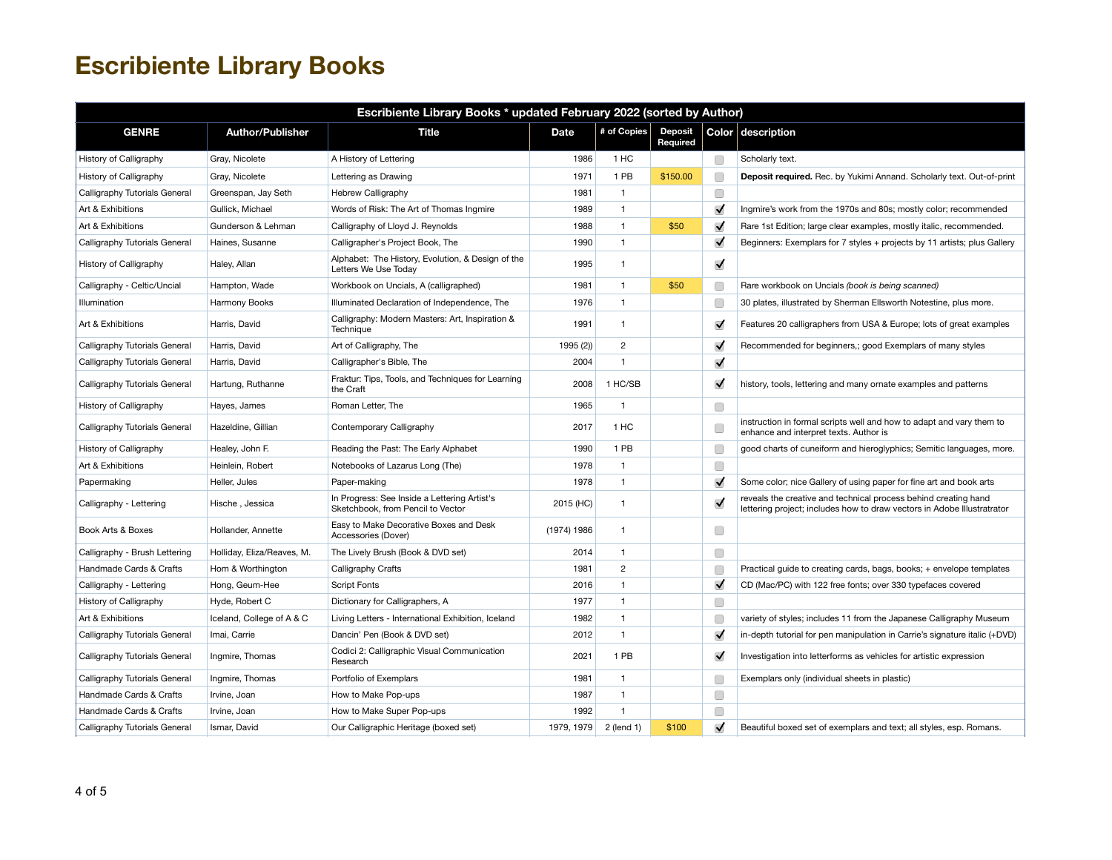| Escribiente Library Books * updated February 2022 (sorted by Author) |                            |                                                                                   |             |                |                            |                      |                                                                                                                                            |  |  |
|----------------------------------------------------------------------|----------------------------|-----------------------------------------------------------------------------------|-------------|----------------|----------------------------|----------------------|--------------------------------------------------------------------------------------------------------------------------------------------|--|--|
| <b>GENRE</b>                                                         | <b>Author/Publisher</b>    | <b>Title</b>                                                                      | <b>Date</b> | # of Copies    | <b>Deposit</b><br>Required |                      | Color description                                                                                                                          |  |  |
| History of Calligraphy                                               | Gray, Nicolete             | A History of Lettering                                                            | 1986        | 1 HC           |                            | □                    | Scholarly text.                                                                                                                            |  |  |
| History of Calligraphy                                               | Gray, Nicolete             | Lettering as Drawing                                                              | 1971        | 1 PB           | \$150.00                   | Г                    | Deposit required. Rec. by Yukimi Annand. Scholarly text. Out-of-print                                                                      |  |  |
| Calligraphy Tutorials General                                        | Greenspan, Jay Seth        | Hebrew Calligraphy                                                                | 1981        | $\mathbf{1}$   |                            | $\Box$               |                                                                                                                                            |  |  |
| Art & Exhibitions                                                    | Gullick, Michael           | Words of Risk: The Art of Thomas Ingmire                                          | 1989        | $\mathbf{1}$   |                            | $\blacktriangledown$ | Ingmire's work from the 1970s and 80s; mostly color; recommended                                                                           |  |  |
| Art & Exhibitions                                                    | Gunderson & Lehman         | Calligraphy of Lloyd J. Reynolds                                                  | 1988        | $\mathbf{1}$   | \$50                       | $\blacktriangledown$ | Rare 1st Edition; large clear examples, mostly italic, recommended.                                                                        |  |  |
| Calligraphy Tutorials General                                        | Haines, Susanne            | Calligrapher's Project Book, The                                                  | 1990        | $\mathbf{1}$   |                            | $\blacktriangledown$ | Beginners: Exemplars for 7 styles + projects by 11 artists; plus Gallery                                                                   |  |  |
| History of Calligraphy                                               | Haley, Allan               | Alphabet: The History, Evolution, & Design of the<br>Letters We Use Today         | 1995        | 1              |                            | $\blacktriangledown$ |                                                                                                                                            |  |  |
| Calligraphy - Celtic/Uncial                                          | Hampton, Wade              | Workbook on Uncials, A (calligraphed)                                             | 1981        | $\mathbf{1}$   | \$50                       | C                    | Rare workbook on Uncials (book is being scanned)                                                                                           |  |  |
| Illumination                                                         | Harmony Books              | Illuminated Declaration of Independence, The                                      | 1976        | $\mathbf{1}$   |                            | C                    | 30 plates, illustrated by Sherman Ellsworth Notestine, plus more.                                                                          |  |  |
| Art & Exhibitions                                                    | Harris, David              | Calligraphy: Modern Masters: Art, Inspiration &<br>Technique                      | 1991        | 1              |                            | $\blacktriangledown$ | Features 20 calligraphers from USA & Europe; lots of great examples                                                                        |  |  |
| Calligraphy Tutorials General                                        | Harris, David              | Art of Calligraphy, The                                                           | 1995 (2))   | $\overline{c}$ |                            | $\blacktriangledown$ | Recommended for beginners,; good Exemplars of many styles                                                                                  |  |  |
| Calligraphy Tutorials General                                        | Harris, David              | Calligrapher's Bible, The                                                         | 2004        | $\mathbf{1}$   |                            | $\blacktriangledown$ |                                                                                                                                            |  |  |
| Calligraphy Tutorials General                                        | Hartung, Ruthanne          | Fraktur: Tips, Tools, and Techniques for Learning<br>the Craft                    | 2008        | 1 HC/SB        |                            | $\blacktriangledown$ | history, tools, lettering and many ornate examples and patterns                                                                            |  |  |
| History of Calligraphy                                               | Hayes, James               | Roman Letter, The                                                                 | 1965        | $\mathbf{1}$   |                            | $\Box$               |                                                                                                                                            |  |  |
| Calligraphy Tutorials General                                        | Hazeldine, Gillian         | Contemporary Calligraphy                                                          | 2017        | 1 HC           |                            | C                    | instruction in formal scripts well and how to adapt and vary them to<br>enhance and interpret texts. Author is                             |  |  |
| History of Calligraphy                                               | Healey, John F.            | Reading the Past: The Early Alphabet                                              | 1990        | 1 PB           |                            | $\Box$               | good charts of cuneiform and hieroglyphics; Semitic languages, more.                                                                       |  |  |
| Art & Exhibitions                                                    | Heinlein, Robert           | Notebooks of Lazarus Long (The)                                                   | 1978        | $\mathbf{1}$   |                            | $\Box$               |                                                                                                                                            |  |  |
| Papermaking                                                          | Heller, Jules              | Paper-making                                                                      | 1978        | $\mathbf{1}$   |                            | $\blacktriangledown$ | Some color; nice Gallery of using paper for fine art and book arts                                                                         |  |  |
| Calligraphy - Lettering                                              | Hische, Jessica            | In Progress: See Inside a Lettering Artist's<br>Sketchbook, from Pencil to Vector | 2015 (HC)   | $\mathbf{1}$   |                            | $\blacktriangledown$ | reveals the creative and technical process behind creating hand<br>lettering project; includes how to draw vectors in Adobe Illustratrator |  |  |
| Book Arts & Boxes                                                    | Hollander, Annette         | Easy to Make Decorative Boxes and Desk<br>Accessories (Dover)                     | (1974) 1986 | 1              |                            | □                    |                                                                                                                                            |  |  |
| Calligraphy - Brush Lettering                                        | Holliday, Eliza/Reaves, M. | The Lively Brush (Book & DVD set)                                                 | 2014        | $\mathbf{1}$   |                            | $\Box$               |                                                                                                                                            |  |  |
| Handmade Cards & Crafts                                              | Hom & Worthington          | Calligraphy Crafts                                                                | 1981        | $\overline{2}$ |                            | C                    | Practical guide to creating cards, bags, books; + envelope templates                                                                       |  |  |
| Calligraphy - Lettering                                              | Hong, Geum-Hee             | <b>Script Fonts</b>                                                               | 2016        | $\mathbf{1}$   |                            | $\blacktriangledown$ | CD (Mac/PC) with 122 free fonts; over 330 typefaces covered                                                                                |  |  |
| History of Calligraphy                                               | Hyde, Robert C             | Dictionary for Calligraphers, A                                                   | 1977        | $\mathbf{1}$   |                            | □                    |                                                                                                                                            |  |  |
| Art & Exhibitions                                                    | Iceland, College of A & C  | Living Letters - International Exhibition, Iceland                                | 1982        | $\mathbf{1}$   |                            | $\Box$               | variety of styles; includes 11 from the Japanese Calligraphy Museum                                                                        |  |  |
| Calligraphy Tutorials General                                        | Imai, Carrie               | Dancin' Pen (Book & DVD set)                                                      | 2012        | $\mathbf{1}$   |                            | $\blacktriangledown$ | in-depth tutorial for pen manipulation in Carrie's signature italic (+DVD)                                                                 |  |  |
| Calligraphy Tutorials General                                        | Ingmire, Thomas            | Codici 2: Calligraphic Visual Communication<br>Research                           | 2021        | 1 PB           |                            | $\blacktriangledown$ | Investigation into letterforms as vehicles for artistic expression                                                                         |  |  |
| Calligraphy Tutorials General                                        | Ingmire, Thomas            | Portfolio of Exemplars                                                            | 1981        | $\mathbf{1}$   |                            | C                    | Exemplars only (individual sheets in plastic)                                                                                              |  |  |
| Handmade Cards & Crafts                                              | Irvine, Joan               | How to Make Pop-ups                                                               | 1987        | $\mathbf{1}$   |                            | $\Box$               |                                                                                                                                            |  |  |
| Handmade Cards & Crafts                                              | Irvine, Joan               | How to Make Super Pop-ups                                                         | 1992        | $\mathbf{1}$   |                            | $\Box$               |                                                                                                                                            |  |  |
| Calligraphy Tutorials General                                        | Ismar, David               | Our Calligraphic Heritage (boxed set)                                             | 1979, 1979  | 2 (lend 1)     | \$100                      | $\checkmark$         | Beautiful boxed set of exemplars and text; all styles, esp. Romans.                                                                        |  |  |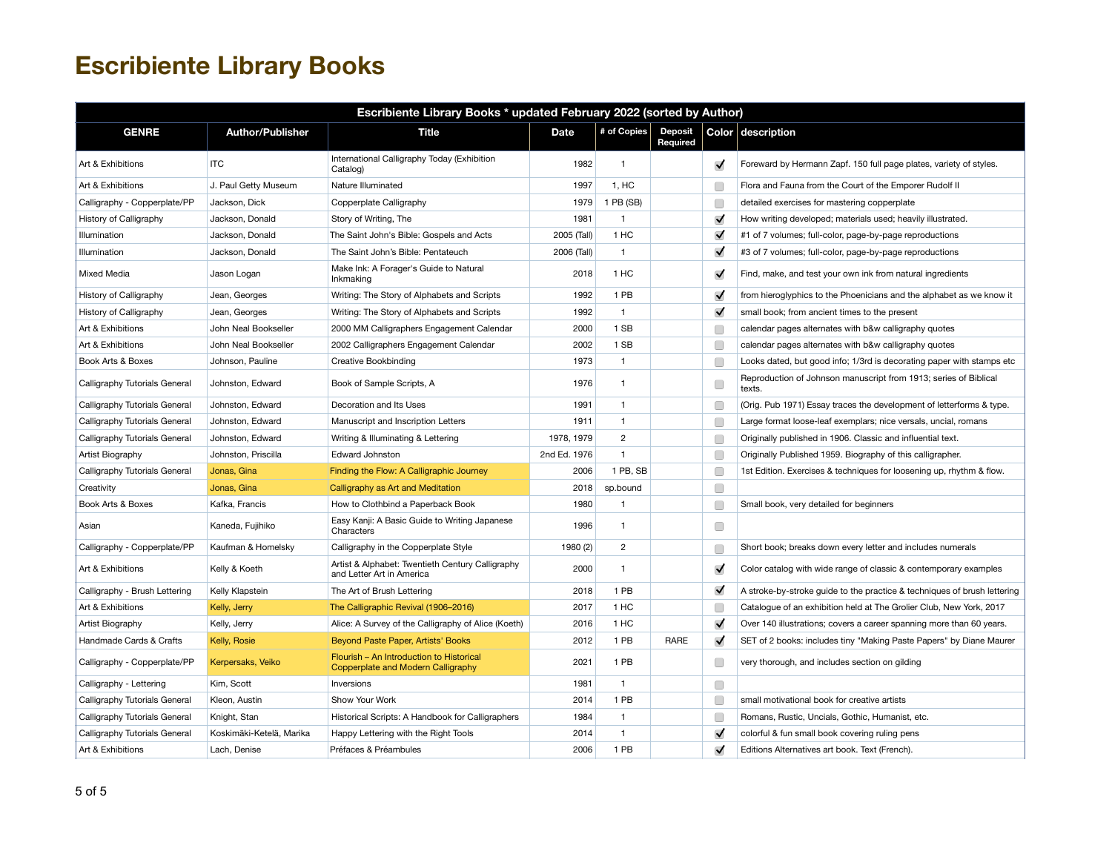| Escribiente Library Books * updated February 2022 (sorted by Author) |                          |                                                                                |              |                |                            |                      |                                                                            |  |  |
|----------------------------------------------------------------------|--------------------------|--------------------------------------------------------------------------------|--------------|----------------|----------------------------|----------------------|----------------------------------------------------------------------------|--|--|
| <b>GENRE</b>                                                         | <b>Author/Publisher</b>  | Title                                                                          | <b>Date</b>  | # of Copies    | <b>Deposit</b><br>Required |                      | Color description                                                          |  |  |
| Art & Exhibitions                                                    | <b>ITC</b>               | International Calligraphy Today (Exhibition<br>Catalog)                        | 1982         | $\mathbf{1}$   |                            | $\blacktriangledown$ | Foreward by Hermann Zapf. 150 full page plates, variety of styles.         |  |  |
| Art & Exhibitions                                                    | J. Paul Getty Museum     | Nature Illuminated                                                             | 1997         | 1. HC          |                            | Œ                    | Flora and Fauna from the Court of the Emporer Rudolf II                    |  |  |
| Calligraphy - Copperplate/PP                                         | Jackson, Dick            | Copperplate Calligraphy                                                        | 1979         | 1 PB (SB)      |                            | Г                    | detailed exercises for mastering copperplate                               |  |  |
| History of Calligraphy                                               | Jackson, Donald          | Story of Writing, The                                                          | 1981         | $\mathbf{1}$   |                            | $\blacktriangledown$ | How writing developed; materials used; heavily illustrated.                |  |  |
| Illumination                                                         | Jackson, Donald          | The Saint John's Bible: Gospels and Acts                                       | 2005 (Tall)  | 1 HC           |                            | $\blacktriangledown$ | #1 of 7 volumes; full-color, page-by-page reproductions                    |  |  |
| Illumination                                                         | Jackson, Donald          | The Saint John's Bible: Pentateuch                                             | 2006 (Tall)  | $\mathbf{1}$   |                            | $\blacktriangledown$ | #3 of 7 volumes; full-color, page-by-page reproductions                    |  |  |
| Mixed Media                                                          | Jason Logan              | Make Ink: A Forager's Guide to Natural<br>Inkmaking                            | 2018         | 1 HC           |                            | $\blacktriangledown$ | Find, make, and test your own ink from natural ingredients                 |  |  |
| History of Calligraphy                                               | Jean, Georges            | Writing: The Story of Alphabets and Scripts                                    | 1992         | 1 PB           |                            | $\blacktriangledown$ | from hieroglyphics to the Phoenicians and the alphabet as we know it       |  |  |
| History of Calligraphy                                               | Jean, Georges            | Writing: The Story of Alphabets and Scripts                                    | 1992         | $\mathbf{1}$   |                            | $\blacktriangledown$ | small book; from ancient times to the present                              |  |  |
| Art & Exhibitions                                                    | John Neal Bookseller     | 2000 MM Calligraphers Engagement Calendar                                      | 2000         | 1 SB           |                            | Г                    | calendar pages alternates with b&w calligraphy quotes                      |  |  |
| Art & Exhibitions                                                    | John Neal Bookseller     | 2002 Calligraphers Engagement Calendar                                         | 2002         | 1 SB           |                            | C                    | calendar pages alternates with b&w calligraphy quotes                      |  |  |
| Book Arts & Boxes                                                    | Johnson, Pauline         | Creative Bookbinding                                                           | 1973         | $\mathbf{1}$   |                            | Œ                    | Looks dated, but good info; 1/3rd is decorating paper with stamps etc      |  |  |
| Calligraphy Tutorials General                                        | Johnston, Edward         | Book of Sample Scripts, A                                                      | 1976         | $\mathbf{1}$   |                            | Œ                    | Reproduction of Johnson manuscript from 1913; series of Biblical<br>texts. |  |  |
| Calligraphy Tutorials General                                        | Johnston, Edward         | Decoration and Its Uses                                                        | 1991         | $\mathbf{1}$   |                            | Г                    | (Orig. Pub 1971) Essay traces the development of letterforms & type.       |  |  |
| Calligraphy Tutorials General                                        | Johnston, Edward         | Manuscript and Inscription Letters                                             | 1911         | $\mathbf{1}$   |                            | Œ                    | Large format loose-leaf exemplars; nice versals, uncial, romans            |  |  |
| Calligraphy Tutorials General                                        | Johnston, Edward         | Writing & Illuminating & Lettering                                             | 1978, 1979   | $\overline{2}$ |                            | C                    | Originally published in 1906. Classic and influential text.                |  |  |
| Artist Biography                                                     | Johnston, Priscilla      | <b>Edward Johnston</b>                                                         | 2nd Ed. 1976 | $\mathbf{1}$   |                            | Œ                    | Originally Published 1959. Biography of this calligrapher.                 |  |  |
| Calligraphy Tutorials General                                        | Jonas, Gina              | Finding the Flow: A Calligraphic Journey                                       | 2006         | 1 PB, SB       |                            | Г                    | 1st Edition. Exercises & techniques for loosening up, rhythm & flow.       |  |  |
| Creativity                                                           | Jonas. Gina              | Calligraphy as Art and Meditation                                              | 2018         | sp.bound       |                            | □                    |                                                                            |  |  |
| Book Arts & Boxes                                                    | Kafka, Francis           | How to Clothbind a Paperback Book                                              | 1980         | $\mathbf{1}$   |                            | Г                    | Small book, very detailed for beginners                                    |  |  |
| Asian                                                                | Kaneda, Fujihiko         | Easy Kanji: A Basic Guide to Writing Japanese<br>Characters                    | 1996         | $\mathbf{1}$   |                            | □                    |                                                                            |  |  |
| Calligraphy - Copperplate/PP                                         | Kaufman & Homelsky       | Calligraphy in the Copperplate Style                                           | 1980 (2)     | $\overline{c}$ |                            | C                    | Short book; breaks down every letter and includes numerals                 |  |  |
| Art & Exhibitions                                                    | Kelly & Koeth            | Artist & Alphabet: Twentieth Century Calligraphy<br>and Letter Art in America  | 2000         | $\mathbf{1}$   |                            | $\blacktriangledown$ | Color catalog with wide range of classic & contemporary examples           |  |  |
| Calligraphy - Brush Lettering                                        | Kelly Klapstein          | The Art of Brush Lettering                                                     | 2018         | 1 PB           |                            | $\blacktriangledown$ | A stroke-by-stroke quide to the practice & techniques of brush lettering   |  |  |
| Art & Exhibitions                                                    | Kelly, Jerry             | The Calligraphic Revival (1906-2016)                                           | 2017         | 1 HC           |                            | Œ                    | Catalogue of an exhibition held at The Grolier Club, New York, 2017        |  |  |
| Artist Biography                                                     | Kelly, Jerry             | Alice: A Survey of the Calligraphy of Alice (Koeth)                            | 2016         | 1 HC           |                            | $\blacktriangledown$ | Over 140 illustrations; covers a career spanning more than 60 years.       |  |  |
| Handmade Cards & Crafts                                              | Kelly, Rosie             | Beyond Paste Paper, Artists' Books                                             | 2012         | 1 PB           | <b>RARE</b>                | $\blacktriangledown$ | SET of 2 books: includes tiny "Making Paste Papers" by Diane Maurer        |  |  |
| Calligraphy - Copperplate/PP                                         | Kerpersaks, Veiko        | Flourish - An Introduction to Historical<br>Copperplate and Modern Calligraphy | 2021         | 1 PB           |                            | Г                    | very thorough, and includes section on gilding                             |  |  |
| Calligraphy - Lettering                                              | Kim, Scott               | Inversions                                                                     | 1981         | $\mathbf{1}$   |                            | O                    |                                                                            |  |  |
| Calligraphy Tutorials General                                        | Kleon, Austin            | Show Your Work                                                                 | 2014         | 1 PB           |                            | С                    | small motivational book for creative artists                               |  |  |
| Calligraphy Tutorials General                                        | Knight, Stan             | Historical Scripts: A Handbook for Calligraphers                               | 1984         | $\mathbf{1}$   |                            | Г                    | Romans, Rustic, Uncials, Gothic, Humanist, etc.                            |  |  |
| Calligraphy Tutorials General                                        | Koskimäki-Ketelä, Marika | Happy Lettering with the Right Tools                                           | 2014         | $\mathbf{1}$   |                            | $\blacktriangledown$ | colorful & fun small book covering ruling pens                             |  |  |
| Art & Exhibitions                                                    | Lach, Denise             | Préfaces & Préambules                                                          | 2006         | 1 PB           |                            | $\blacktriangledown$ | Editions Alternatives art book. Text (French).                             |  |  |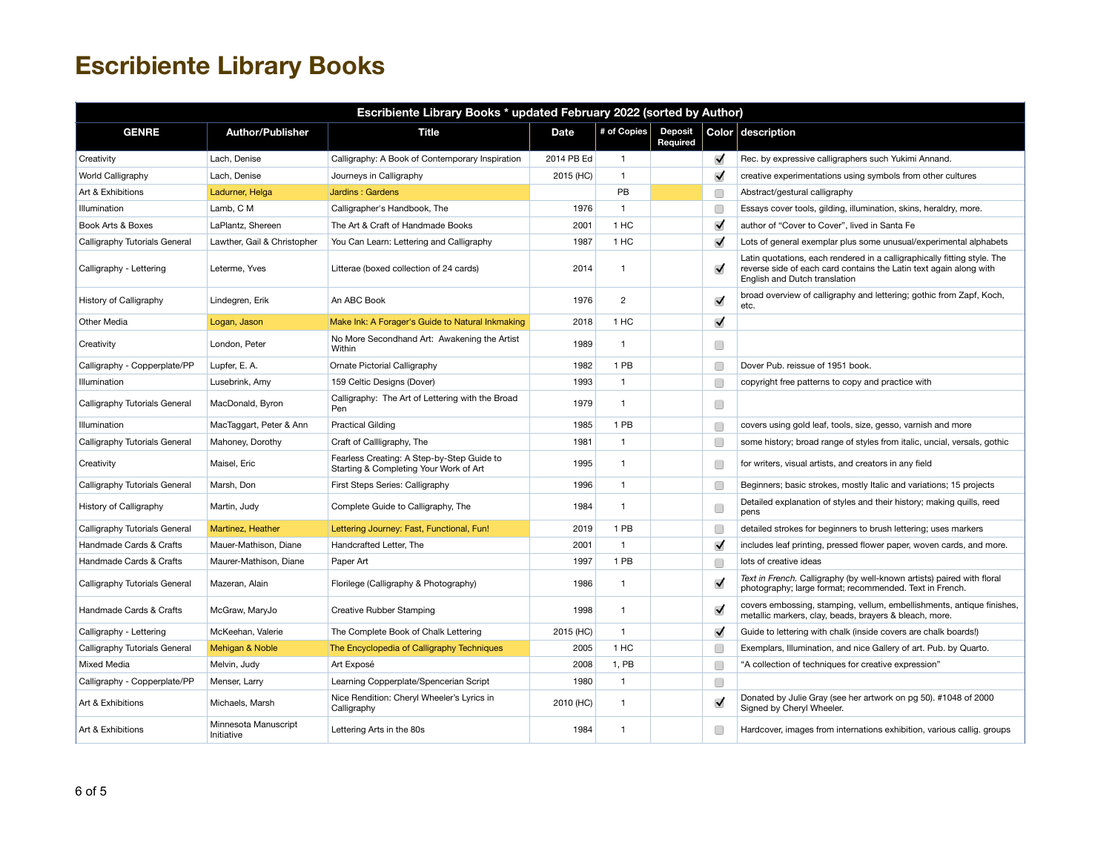| Escribiente Library Books * updated February 2022 (sorted by Author) |                                    |                                                                                      |             |                |                            |                      |                                                                                                                                                                                 |  |  |  |
|----------------------------------------------------------------------|------------------------------------|--------------------------------------------------------------------------------------|-------------|----------------|----------------------------|----------------------|---------------------------------------------------------------------------------------------------------------------------------------------------------------------------------|--|--|--|
| <b>GENRE</b>                                                         | <b>Author/Publisher</b>            | <b>Title</b>                                                                         | <b>Date</b> | # of Copies    | <b>Deposit</b><br>Required |                      | Color description                                                                                                                                                               |  |  |  |
| Creativity                                                           | Lach, Denise                       | Calligraphy: A Book of Contemporary Inspiration                                      | 2014 PB Ed  | $\mathbf{1}$   |                            | $\blacktriangledown$ | Rec. by expressive calligraphers such Yukimi Annand.                                                                                                                            |  |  |  |
| World Calligraphy                                                    | Lach, Denise                       | Journeys in Calligraphy                                                              | 2015 (HC)   | $\mathbf{1}$   |                            | $\blacktriangledown$ | creative experimentations using symbols from other cultures                                                                                                                     |  |  |  |
| Art & Exhibitions                                                    | Ladurner, Helga                    | Jardins: Gardens                                                                     |             | PB             |                            | Œ                    | Abstract/gestural calligraphy                                                                                                                                                   |  |  |  |
| Illumination                                                         | Lamb. C M                          | Calligrapher's Handbook, The                                                         | 1976        | $\overline{1}$ |                            | □                    | Essays cover tools, gilding, illumination, skins, heraldry, more.                                                                                                               |  |  |  |
| Book Arts & Boxes                                                    | LaPlantz, Shereen                  | The Art & Craft of Handmade Books                                                    | 2001        | 1 HC           |                            | $\blacktriangledown$ | author of "Cover to Cover", lived in Santa Fe                                                                                                                                   |  |  |  |
| Calligraphy Tutorials General                                        | Lawther, Gail & Christopher        | You Can Learn: Lettering and Calligraphy                                             | 1987        | 1 HC           |                            | $\blacktriangledown$ | Lots of general exemplar plus some unusual/experimental alphabets                                                                                                               |  |  |  |
| Calligraphy - Lettering                                              | Leterme, Yves                      | Litterae (boxed collection of 24 cards)                                              | 2014        | $\overline{1}$ |                            | $\blacktriangledown$ | Latin quotations, each rendered in a calligraphically fitting style. The<br>reverse side of each card contains the Latin text again along with<br>English and Dutch translation |  |  |  |
| History of Calligraphy                                               | Lindegren, Erik                    | An ABC Book                                                                          | 1976        | $\overline{2}$ |                            | $\blacktriangledown$ | broad overview of calligraphy and lettering; gothic from Zapf, Koch,<br>etc.                                                                                                    |  |  |  |
| Other Media                                                          | Logan, Jason                       | Make Ink: A Forager's Guide to Natural Inkmaking                                     | 2018        | 1 HC           |                            | $\checkmark$         |                                                                                                                                                                                 |  |  |  |
| Creativity                                                           | London, Peter                      | No More Secondhand Art: Awakening the Artist<br>Within                               | 1989        | $\overline{1}$ |                            | O                    |                                                                                                                                                                                 |  |  |  |
| Calligraphy - Copperplate/PP                                         | Lupfer, E. A.                      | Ornate Pictorial Calligraphy                                                         | 1982        | 1 PB           |                            | C                    | Dover Pub. reissue of 1951 book.                                                                                                                                                |  |  |  |
| Illumination                                                         | Lusebrink, Amy                     | 159 Celtic Designs (Dover)                                                           | 1993        | $\overline{1}$ |                            | □                    | copyright free patterns to copy and practice with                                                                                                                               |  |  |  |
| Calligraphy Tutorials General                                        | MacDonald, Byron                   | Calligraphy: The Art of Lettering with the Broad<br>Pen                              | 1979        | $\overline{1}$ |                            | O                    |                                                                                                                                                                                 |  |  |  |
| Illumination                                                         | MacTaggart, Peter & Ann            | <b>Practical Gilding</b>                                                             | 1985        | 1 PB           |                            | □                    | covers using gold leaf, tools, size, gesso, varnish and more                                                                                                                    |  |  |  |
| Calligraphy Tutorials General                                        | Mahoney, Dorothy                   | Craft of Callligraphy, The                                                           | 1981        | $\overline{1}$ |                            | Œ                    | some history; broad range of styles from italic, uncial, versals, gothic                                                                                                        |  |  |  |
| Creativity                                                           | Maisel, Eric                       | Fearless Creating: A Step-by-Step Guide to<br>Starting & Completing Your Work of Art | 1995        | $\overline{1}$ |                            | □                    | for writers, visual artists, and creators in any field                                                                                                                          |  |  |  |
| Calligraphy Tutorials General                                        | Marsh, Don                         | First Steps Series: Calligraphy                                                      | 1996        | $\overline{1}$ |                            | C                    | Beginners; basic strokes, mostly Italic and variations; 15 projects                                                                                                             |  |  |  |
| History of Calligraphy                                               | Martin, Judy                       | Complete Guide to Calligraphy, The                                                   | 1984        | $\overline{1}$ |                            | □                    | Detailed explanation of styles and their history; making quills, reed<br>pens                                                                                                   |  |  |  |
| Calligraphy Tutorials General                                        | Martinez, Heather                  | Lettering Journey: Fast, Functional, Fun!                                            | 2019        | 1 PB           |                            | C                    | detailed strokes for beginners to brush lettering; uses markers                                                                                                                 |  |  |  |
| Handmade Cards & Crafts                                              | Mauer-Mathison, Diane              | Handcrafted Letter, The                                                              | 2001        | $\mathbf{1}$   |                            | $\blacktriangledown$ | includes leaf printing, pressed flower paper, woven cards, and more.                                                                                                            |  |  |  |
| Handmade Cards & Crafts                                              | Maurer-Mathison, Diane             | Paper Art                                                                            | 1997        | 1 PB           |                            | Œ                    | lots of creative ideas                                                                                                                                                          |  |  |  |
| Calligraphy Tutorials General                                        | Mazeran, Alain                     | Florilege (Calligraphy & Photography)                                                | 1986        | $\mathbf{1}$   |                            | $\blacktriangledown$ | Text in French. Calligraphy (by well-known artists) paired with floral<br>photography; large format; recommended. Text in French.                                               |  |  |  |
| Handmade Cards & Crafts                                              | McGraw, MaryJo                     | Creative Rubber Stamping                                                             | 1998        | $\mathbf{1}$   |                            | $\blacktriangledown$ | covers embossing, stamping, vellum, embellishments, antique finishes,<br>metallic markers, clay, beads, brayers & bleach, more.                                                 |  |  |  |
| Calligraphy - Lettering                                              | McKeehan, Valerie                  | The Complete Book of Chalk Lettering                                                 | 2015 (HC)   | $\overline{1}$ |                            | $\blacktriangledown$ | Guide to lettering with chalk (inside covers are chalk boards!)                                                                                                                 |  |  |  |
| Calligraphy Tutorials General                                        | Mehigan & Noble                    | The Encyclopedia of Calligraphy Techniques                                           | 2005        | 1 HC           |                            | C                    | Exemplars, Illumination, and nice Gallery of art. Pub. by Quarto.                                                                                                               |  |  |  |
| <b>Mixed Media</b>                                                   | Melvin, Judy                       | Art Exposé                                                                           | 2008        | 1, PB          |                            | C                    | "A collection of techniques for creative expression"                                                                                                                            |  |  |  |
| Calligraphy - Copperplate/PP                                         | Menser, Larry                      | Learning Copperplate/Spencerian Script                                               | 1980        | $\mathbf{1}$   |                            | O                    |                                                                                                                                                                                 |  |  |  |
| Art & Exhibitions                                                    | Michaels, Marsh                    | Nice Rendition: Cheryl Wheeler's Lyrics in<br>Calligraphy                            | 2010 (HC)   | $\mathbf{1}$   |                            | $\blacktriangledown$ | Donated by Julie Gray (see her artwork on pg 50). #1048 of 2000<br>Signed by Cheryl Wheeler.                                                                                    |  |  |  |
| Art & Exhibitions                                                    | Minnesota Manuscript<br>Initiative | Lettering Arts in the 80s                                                            | 1984        | $\mathbf{1}$   |                            | □                    | Hardcover, images from internations exhibition, various callig, groups                                                                                                          |  |  |  |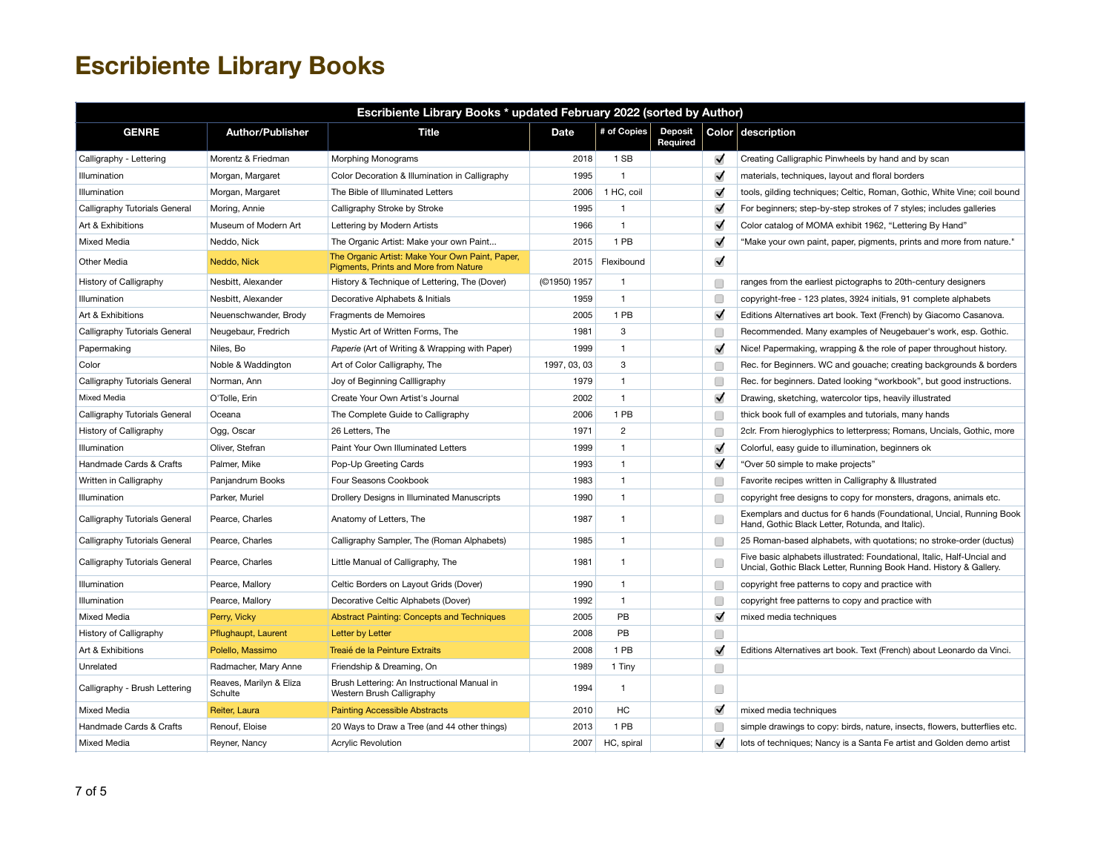| Escribiente Library Books * updated February 2022 (sorted by Author) |                                    |                                                                                          |              |                |                            |                      |                                                                                                                                               |  |  |
|----------------------------------------------------------------------|------------------------------------|------------------------------------------------------------------------------------------|--------------|----------------|----------------------------|----------------------|-----------------------------------------------------------------------------------------------------------------------------------------------|--|--|
| <b>GENRE</b>                                                         | <b>Author/Publisher</b>            | <b>Title</b>                                                                             | <b>Date</b>  | # of Copies    | <b>Deposit</b><br>Required |                      | Color description                                                                                                                             |  |  |
| Calligraphy - Lettering                                              | Morentz & Friedman                 | Morphing Monograms                                                                       | 2018         | 1 SB           |                            | ✔                    | Creating Calligraphic Pinwheels by hand and by scan                                                                                           |  |  |
| Illumination                                                         | Morgan, Margaret                   | Color Decoration & Illumination in Calligraphy                                           | 1995         | $\mathbf{1}$   |                            | $\blacktriangledown$ | materials, techniques, layout and floral borders                                                                                              |  |  |
| Illumination                                                         | Morgan, Margaret                   | The Bible of Illuminated Letters                                                         | 2006         | 1 HC, coil     |                            | $\blacktriangledown$ | tools, gilding techniques; Celtic, Roman, Gothic, White Vine; coil bound                                                                      |  |  |
| Calligraphy Tutorials General                                        | Moring, Annie                      | Calligraphy Stroke by Stroke                                                             | 1995         | $\mathbf{1}$   |                            | $\blacktriangledown$ | For beginners; step-by-step strokes of 7 styles; includes galleries                                                                           |  |  |
| Art & Exhibitions                                                    | Museum of Modern Art               | Lettering by Modern Artists                                                              | 1966         | $\mathbf{1}$   |                            | $\blacktriangledown$ | Color catalog of MOMA exhibit 1962, "Lettering By Hand"                                                                                       |  |  |
| <b>Mixed Media</b>                                                   | Neddo, Nick                        | The Organic Artist: Make your own Paint                                                  | 2015         | 1 PB           |                            | $\blacktriangledown$ | "Make your own paint, paper, pigments, prints and more from nature."                                                                          |  |  |
| Other Media                                                          | Neddo, Nick                        | The Organic Artist: Make Your Own Paint, Paper,<br>Pigments, Prints and More from Nature | 2015         | Flexibound     |                            | $\blacktriangledown$ |                                                                                                                                               |  |  |
| History of Calligraphy                                               | Nesbitt, Alexander                 | History & Technique of Lettering, The (Dover)                                            | (©1950) 1957 | $\mathbf{1}$   |                            | C                    | ranges from the earliest pictographs to 20th-century designers                                                                                |  |  |
| Illumination                                                         | Nesbitt, Alexander                 | Decorative Alphabets & Initials                                                          | 1959         | $\mathbf{1}$   |                            | C                    | copyright-free - 123 plates, 3924 initials, 91 complete alphabets                                                                             |  |  |
| Art & Exhibitions                                                    | Neuenschwander, Brody              | Fragments de Memoires                                                                    | 2005         | 1 PB           |                            | $\blacktriangledown$ | Editions Alternatives art book. Text (French) by Giacomo Casanova.                                                                            |  |  |
| Calligraphy Tutorials General                                        | Neugebaur, Fredrich                | Mystic Art of Written Forms, The                                                         | 1981         | 3              |                            | С                    | Recommended. Many examples of Neugebauer's work, esp. Gothic.                                                                                 |  |  |
| Papermaking                                                          | Niles, Bo                          | Paperie (Art of Writing & Wrapping with Paper)                                           | 1999         | $\mathbf{1}$   |                            | $\blacktriangledown$ | Nice! Papermaking, wrapping & the role of paper throughout history.                                                                           |  |  |
| Color                                                                | Noble & Waddington                 | Art of Color Calligraphy, The                                                            | 1997, 03, 03 | 3              |                            | C                    | Rec. for Beginners. WC and gouache; creating backgrounds & borders                                                                            |  |  |
| Calligraphy Tutorials General                                        | Norman, Ann                        | Joy of Beginning Callligraphy                                                            | 1979         | $\mathbf{1}$   |                            | C                    | Rec. for beginners. Dated looking "workbook", but good instructions.                                                                          |  |  |
| Mixed Media                                                          | O'Tolle, Erin                      | Create Your Own Artist's Journal                                                         | 2002         | $\mathbf{1}$   |                            | $\blacktriangledown$ | Drawing, sketching, watercolor tips, heavily illustrated                                                                                      |  |  |
| Calligraphy Tutorials General                                        | Oceana                             | The Complete Guide to Calligraphy                                                        | 2006         | 1 PB           |                            | Œ                    | thick book full of examples and tutorials, many hands                                                                                         |  |  |
| History of Calligraphy                                               | Ogg, Oscar                         | 26 Letters, The                                                                          | 1971         | $\overline{2}$ |                            | C                    | 2clr. From hieroglyphics to letterpress; Romans, Uncials, Gothic, more                                                                        |  |  |
| Illumination                                                         | Oliver, Stefran                    | Paint Your Own Illuminated Letters                                                       | 1999         | $\mathbf{1}$   |                            | $\blacktriangledown$ | Colorful, easy guide to illumination, beginners ok                                                                                            |  |  |
| Handmade Cards & Crafts                                              | Palmer, Mike                       | Pop-Up Greeting Cards                                                                    | 1993         | $\mathbf{1}$   |                            | $\blacktriangledown$ | "Over 50 simple to make projects"                                                                                                             |  |  |
| Written in Calligraphy                                               | Panjandrum Books                   | Four Seasons Cookbook                                                                    | 1983         | $\mathbf{1}$   |                            | C                    | Favorite recipes written in Calligraphy & Illustrated                                                                                         |  |  |
| Illumination                                                         | Parker, Muriel                     | Drollery Designs in Illuminated Manuscripts                                              | 1990         | $\mathbf{1}$   |                            | С                    | copyright free designs to copy for monsters, dragons, animals etc.                                                                            |  |  |
| Calligraphy Tutorials General                                        | Pearce, Charles                    | Anatomy of Letters, The                                                                  | 1987         | 1              |                            | C                    | Exemplars and ductus for 6 hands (Foundational, Uncial, Running Book<br>Hand, Gothic Black Letter, Rotunda, and Italic).                      |  |  |
| Calligraphy Tutorials General                                        | Pearce, Charles                    | Calligraphy Sampler, The (Roman Alphabets)                                               | 1985         | $\mathbf{1}$   |                            | С                    | 25 Roman-based alphabets, with quotations; no stroke-order (ductus)                                                                           |  |  |
| Calligraphy Tutorials General                                        | Pearce, Charles                    | Little Manual of Calligraphy, The                                                        | 1981         | $\mathbf{1}$   |                            | C                    | Five basic alphabets illustrated: Foundational, Italic, Half-Uncial and<br>Uncial, Gothic Black Letter, Running Book Hand. History & Gallery. |  |  |
| Illumination                                                         | Pearce, Mallory                    | Celtic Borders on Layout Grids (Dover)                                                   | 1990         | $\mathbf{1}$   |                            | C                    | copyright free patterns to copy and practice with                                                                                             |  |  |
| Illumination                                                         | Pearce, Mallory                    | Decorative Celtic Alphabets (Dover)                                                      | 1992         | $\mathbf{1}$   |                            | C                    | copyright free patterns to copy and practice with                                                                                             |  |  |
| Mixed Media                                                          | Perry, Vicky                       | <b>Abstract Painting: Concepts and Techniques</b>                                        | 2005         | PB             |                            | $\blacktriangledown$ | mixed media techniques                                                                                                                        |  |  |
| History of Calligraphy                                               | Pflughaupt, Laurent                | Letter by Letter                                                                         | 2008         | PB             |                            | O                    |                                                                                                                                               |  |  |
| Art & Exhibitions                                                    | Polello, Massimo                   | Treaié de la Peinture Extraits                                                           | 2008         | 1 PB           |                            | $\blacktriangledown$ | Editions Alternatives art book. Text (French) about Leonardo da Vinci.                                                                        |  |  |
| Unrelated                                                            | Radmacher, Mary Anne               | Friendship & Dreaming, On                                                                | 1989         | 1 Tiny         |                            | $\Box$               |                                                                                                                                               |  |  |
| Calligraphy - Brush Lettering                                        | Reaves, Marilyn & Eliza<br>Schulte | Brush Lettering: An Instructional Manual in<br>Western Brush Calligraphy                 | 1994         | 1              |                            | $\Box$               |                                                                                                                                               |  |  |
| Mixed Media                                                          | Reiter, Laura                      | <b>Painting Accessible Abstracts</b>                                                     | 2010         | HC             |                            | $\blacktriangledown$ | mixed media techniques                                                                                                                        |  |  |
| Handmade Cards & Crafts                                              | Renouf, Eloise                     | 20 Ways to Draw a Tree (and 44 other things)                                             | 2013         | 1 PB           |                            | O                    | simple drawings to copy: birds, nature, insects, flowers, butterflies etc.                                                                    |  |  |
| Mixed Media                                                          | Reyner, Nancy                      | <b>Acrylic Revolution</b>                                                                | 2007         | HC, spiral     |                            | $\blacktriangledown$ | lots of techniques; Nancy is a Santa Fe artist and Golden demo artist                                                                         |  |  |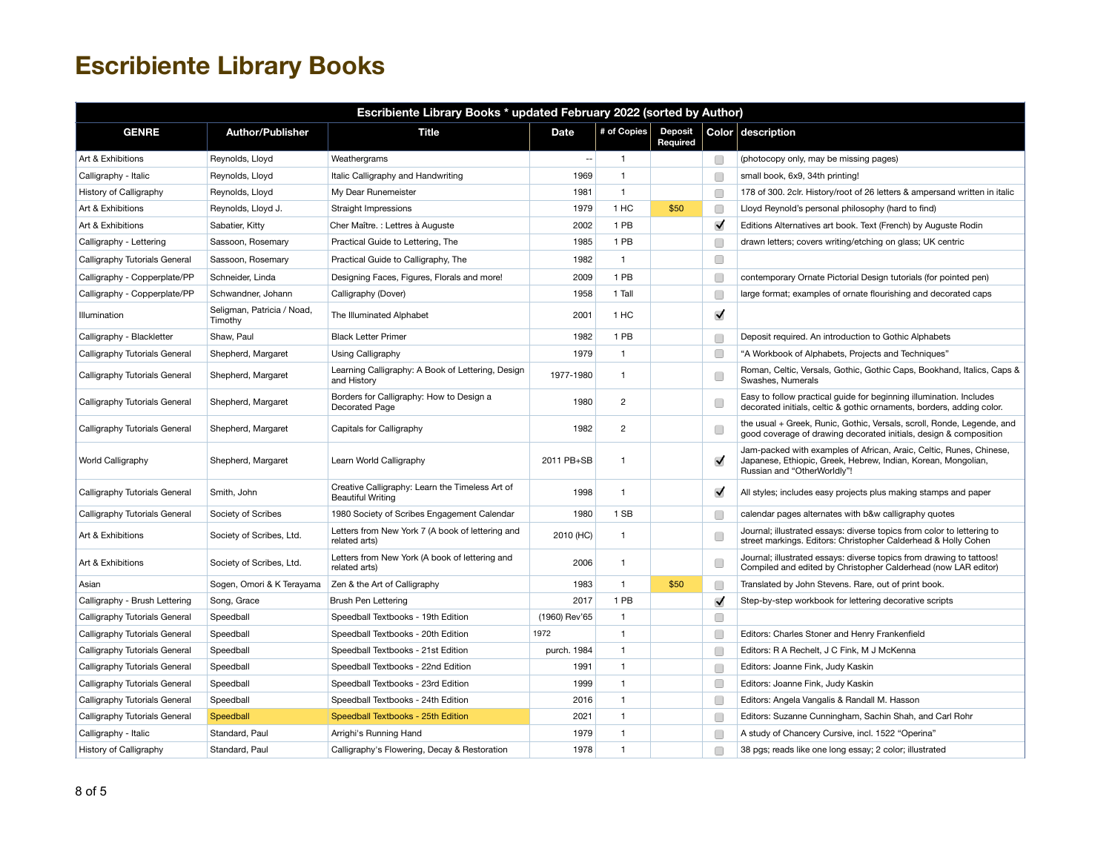| Escribiente Library Books * updated February 2022 (sorted by Author) |                                       |                                                                             |                          |                |                            |                      |                                                                                                                                                                     |  |  |
|----------------------------------------------------------------------|---------------------------------------|-----------------------------------------------------------------------------|--------------------------|----------------|----------------------------|----------------------|---------------------------------------------------------------------------------------------------------------------------------------------------------------------|--|--|
| <b>GENRE</b>                                                         | <b>Author/Publisher</b>               | Title                                                                       | Date                     | # of Copies    | <b>Deposit</b><br>Required |                      | Color description                                                                                                                                                   |  |  |
| Art & Exhibitions                                                    | Reynolds, Lloyd                       | Weathergrams                                                                | $\overline{\phantom{a}}$ | $\mathbf{1}$   |                            | O                    | (photocopy only, may be missing pages)                                                                                                                              |  |  |
| Calligraphy - Italic                                                 | Reynolds, Lloyd                       | Italic Calligraphy and Handwriting                                          | 1969                     | $\mathbf{1}$   |                            | Œ                    | small book, 6x9, 34th printing!                                                                                                                                     |  |  |
| History of Calligraphy                                               | Reynolds, Lloyd                       | My Dear Runemeister                                                         | 1981                     | $\mathbf{1}$   |                            | C                    | 178 of 300. 2clr. History/root of 26 letters & ampersand written in italic                                                                                          |  |  |
| Art & Exhibitions                                                    | Reynolds, Lloyd J.                    | Straight Impressions                                                        | 1979                     | 1 HC           | \$50                       | Œ                    | Lloyd Reynold's personal philosophy (hard to find)                                                                                                                  |  |  |
| Art & Exhibitions                                                    | Sabatier, Kitty                       | Cher Maître. : Lettres à Auguste                                            | 2002                     | 1 PB           |                            | $\blacktriangledown$ | Editions Alternatives art book. Text (French) by Auguste Rodin                                                                                                      |  |  |
| Calligraphy - Lettering                                              | Sassoon, Rosemary                     | Practical Guide to Lettering, The                                           | 1985                     | 1 PB           |                            | Г                    | drawn letters; covers writing/etching on glass; UK centric                                                                                                          |  |  |
| Calligraphy Tutorials General                                        | Sassoon, Rosemary                     | Practical Guide to Calligraphy, The                                         | 1982                     | $\mathbf{1}$   |                            | $\Box$               |                                                                                                                                                                     |  |  |
| Calligraphy - Copperplate/PP                                         | Schneider, Linda                      | Designing Faces, Figures, Florals and more!                                 | 2009                     | 1 PB           |                            | □                    | contemporary Ornate Pictorial Design tutorials (for pointed pen)                                                                                                    |  |  |
| Calligraphy - Copperplate/PP                                         | Schwandner, Johann                    | Calligraphy (Dover)                                                         | 1958                     | 1 Tall         |                            | □                    | large format; examples of ornate flourishing and decorated caps                                                                                                     |  |  |
| Illumination                                                         | Seligman, Patricia / Noad,<br>Timothy | The Illuminated Alphabet                                                    | 2001                     | 1 HC           |                            | $\blacktriangledown$ |                                                                                                                                                                     |  |  |
| Calligraphy - Blackletter                                            | Shaw, Paul                            | <b>Black Letter Primer</b>                                                  | 1982                     | 1 PB           |                            | □                    | Deposit required. An introduction to Gothic Alphabets                                                                                                               |  |  |
| Calligraphy Tutorials General                                        | Shepherd, Margaret                    | Using Calligraphy                                                           | 1979                     | $\mathbf{1}$   |                            | C                    | "A Workbook of Alphabets, Projects and Techniques"                                                                                                                  |  |  |
| Calligraphy Tutorials General                                        | Shepherd, Margaret                    | Learning Calligraphy: A Book of Lettering, Design<br>and History            | 1977-1980                | $\mathbf{1}$   |                            | Œ                    | Roman, Celtic, Versals, Gothic, Gothic Caps, Bookhand, Italics, Caps &<br>Swashes, Numerals                                                                         |  |  |
| Calligraphy Tutorials General                                        | Shepherd, Margaret                    | Borders for Calligraphy: How to Design a<br>Decorated Page                  | 1980                     | $\overline{2}$ |                            | Œ                    | Easy to follow practical guide for beginning illumination. Includes<br>decorated initials, celtic & gothic ornaments, borders, adding color.                        |  |  |
| Calligraphy Tutorials General                                        | Shepherd, Margaret                    | Capitals for Calligraphy                                                    | 1982                     | $\overline{c}$ |                            | Œ                    | the usual + Greek, Runic, Gothic, Versals, scroll, Ronde, Legende, and<br>good coverage of drawing decorated initials, design & composition                         |  |  |
| World Calligraphy                                                    | Shepherd, Margaret                    | Learn World Calligraphy                                                     | 2011 PB+SB               | $\mathbf{1}$   |                            | ✓                    | Jam-packed with examples of African, Araic, Celtic, Runes, Chinese,<br>Japanese, Ethiopic, Greek, Hebrew, Indian, Korean, Mongolian,<br>Russian and "OtherWorldly"! |  |  |
| Calligraphy Tutorials General                                        | Smith, John                           | Creative Calligraphy: Learn the Timeless Art of<br><b>Beautiful Writing</b> | 1998                     | $\mathbf{1}$   |                            | $\blacktriangledown$ | All styles; includes easy projects plus making stamps and paper                                                                                                     |  |  |
| Calligraphy Tutorials General                                        | Society of Scribes                    | 1980 Society of Scribes Engagement Calendar                                 | 1980                     | 1 SB           |                            | Œ                    | calendar pages alternates with b&w calligraphy quotes                                                                                                               |  |  |
| Art & Exhibitions                                                    | Society of Scribes, Ltd.              | Letters from New York 7 (A book of lettering and<br>related arts)           | 2010 (HC)                | 1              |                            | Œ                    | Journal; illustrated essays: diverse topics from color to lettering to<br>street markings. Editors: Christopher Calderhead & Holly Cohen                            |  |  |
| Art & Exhibitions                                                    | Society of Scribes, Ltd.              | Letters from New York (A book of lettering and<br>related arts)             | 2006                     | $\mathbf{1}$   |                            | Г                    | Journal; illustrated essays: diverse topics from drawing to tattoos!<br>Compiled and edited by Christopher Calderhead (now LAR editor)                              |  |  |
| Asian                                                                | Sogen, Omori & K Terayama             | Zen & the Art of Calligraphy                                                | 1983                     | $\mathbf{1}$   | \$50                       | □                    | Translated by John Stevens. Rare, out of print book.                                                                                                                |  |  |
| Calligraphy - Brush Lettering                                        | Song, Grace                           | Brush Pen Lettering                                                         | 2017                     | 1 PB           |                            | $\blacktriangledown$ | Step-by-step workbook for lettering decorative scripts                                                                                                              |  |  |
| Calligraphy Tutorials General                                        | Speedball                             | Speedball Textbooks - 19th Edition                                          | (1960) Rev'65            | $\mathbf{1}$   |                            | □                    |                                                                                                                                                                     |  |  |
| Calligraphy Tutorials General                                        | Speedball                             | Speedball Textbooks - 20th Edition                                          | 1972                     | $\mathbf{1}$   |                            | C                    | Editors: Charles Stoner and Henry Frankenfield                                                                                                                      |  |  |
| Calligraphy Tutorials General                                        | Speedball                             | Speedball Textbooks - 21st Edition                                          | purch. 1984              | $\mathbf{1}$   |                            | Œ                    | Editors: R A Rechelt, J C Fink, M J McKenna                                                                                                                         |  |  |
| Calligraphy Tutorials General                                        | Speedball                             | Speedball Textbooks - 22nd Edition                                          | 1991                     | $\mathbf{1}$   |                            | C                    | Editors: Joanne Fink, Judy Kaskin                                                                                                                                   |  |  |
| Calligraphy Tutorials General                                        | Speedball                             | Speedball Textbooks - 23rd Edition                                          | 1999                     | $\mathbf{1}$   |                            | Œ                    | Editors: Joanne Fink, Judy Kaskin                                                                                                                                   |  |  |
| Calligraphy Tutorials General                                        | Speedball                             | Speedball Textbooks - 24th Edition                                          | 2016                     | $\mathbf{1}$   |                            | Œ                    | Editors: Angela Vangalis & Randall M. Hasson                                                                                                                        |  |  |
| Calligraphy Tutorials General                                        | Speedball                             | Speedball Textbooks - 25th Edition                                          | 2021                     | $\mathbf{1}$   |                            | C                    | Editors: Suzanne Cunningham, Sachin Shah, and Carl Rohr                                                                                                             |  |  |
| Calligraphy - Italic                                                 | Standard, Paul                        | Arrighi's Running Hand                                                      | 1979                     | $\mathbf{1}$   |                            | Г                    | A study of Chancery Cursive, incl. 1522 "Operina"                                                                                                                   |  |  |
| History of Calligraphy                                               | Standard, Paul                        | Calligraphy's Flowering, Decay & Restoration                                | 1978                     | $\mathbf{1}$   |                            | □                    | 38 pgs; reads like one long essay; 2 color; illustrated                                                                                                             |  |  |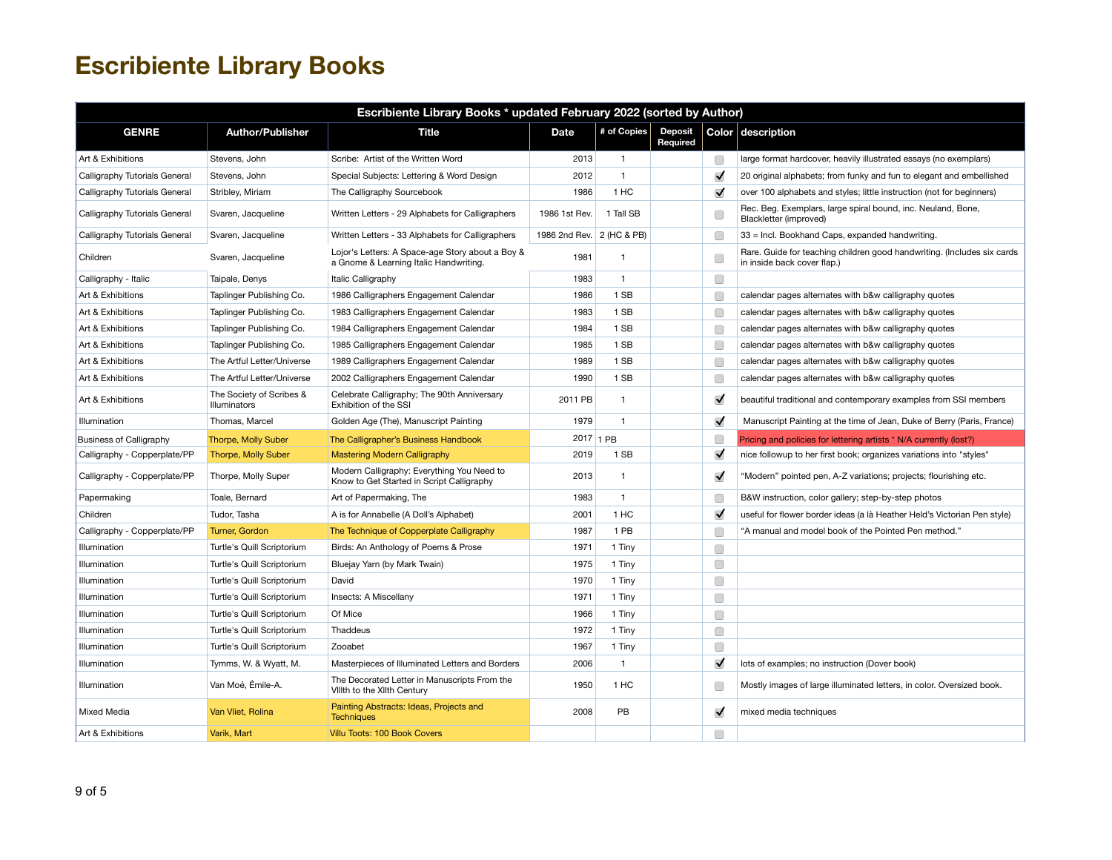| Escribiente Library Books * updated February 2022 (sorted by Author) |                                          |                                                                                            |                           |              |                            |                      |                                                                                                        |  |  |
|----------------------------------------------------------------------|------------------------------------------|--------------------------------------------------------------------------------------------|---------------------------|--------------|----------------------------|----------------------|--------------------------------------------------------------------------------------------------------|--|--|
| <b>GENRE</b>                                                         | <b>Author/Publisher</b>                  | <b>Title</b>                                                                               | <b>Date</b>               | # of Copies  | <b>Deposit</b><br>Required |                      | Color description                                                                                      |  |  |
| Art & Exhibitions                                                    | Stevens, John                            | Scribe: Artist of the Written Word                                                         | 2013                      | $\mathbf{1}$ |                            | $\Box$               | large format hardcover, heavily illustrated essays (no exemplars)                                      |  |  |
| Calligraphy Tutorials General                                        | Stevens, John                            | Special Subjects: Lettering & Word Design                                                  | 2012                      | $\mathbf{1}$ |                            | $\blacktriangledown$ | 20 original alphabets; from funky and fun to elegant and embellished                                   |  |  |
| Calligraphy Tutorials General                                        | Stribley, Miriam                         | The Calligraphy Sourcebook                                                                 | 1986                      | 1 HC         |                            | $\blacktriangledown$ | over 100 alphabets and styles; little instruction (not for beginners)                                  |  |  |
| Calligraphy Tutorials General                                        | Svaren, Jacqueline                       | Written Letters - 29 Alphabets for Calligraphers                                           | 1986 1st Rev.             | 1 Tall SB    |                            | C                    | Rec. Beg. Exemplars, large spiral bound, inc. Neuland, Bone,<br>Blackletter (improved)                 |  |  |
| Calligraphy Tutorials General                                        | Svaren, Jacqueline                       | Written Letters - 33 Alphabets for Calligraphers                                           | 1986 2nd Rev. 2 (HC & PB) |              |                            | Œ                    | 33 = Incl. Bookhand Caps, expanded handwriting.                                                        |  |  |
| Children                                                             | Svaren, Jacqueline                       | Lojor's Letters: A Space-age Story about a Boy &<br>a Gnome & Learning Italic Handwriting. | 1981                      | $\mathbf{1}$ |                            | C                    | Rare. Guide for teaching children good handwriting. (Includes six cards<br>in inside back cover flap.) |  |  |
| Calligraphy - Italic                                                 | Taipale, Denys                           | Italic Calligraphy                                                                         | 1983                      | $\mathbf{1}$ |                            | $\Box$               |                                                                                                        |  |  |
| Art & Exhibitions                                                    | Taplinger Publishing Co.                 | 1986 Calligraphers Engagement Calendar                                                     | 1986                      | 1 SB         |                            | C                    | calendar pages alternates with b&w calligraphy quotes                                                  |  |  |
| Art & Exhibitions                                                    | Taplinger Publishing Co.                 | 1983 Calligraphers Engagement Calendar                                                     | 1983                      | 1 SB         |                            | C                    | calendar pages alternates with b&w calligraphy quotes                                                  |  |  |
| Art & Exhibitions                                                    | Taplinger Publishing Co.                 | 1984 Calligraphers Engagement Calendar                                                     | 1984                      | 1 SB         |                            | C                    | calendar pages alternates with b&w calligraphy quotes                                                  |  |  |
| Art & Exhibitions                                                    | Taplinger Publishing Co.                 | 1985 Calligraphers Engagement Calendar                                                     | 1985                      | 1 SB         |                            | C                    | calendar pages alternates with b&w calligraphy quotes                                                  |  |  |
| Art & Exhibitions                                                    | The Artful Letter/Universe               | 1989 Calligraphers Engagement Calendar                                                     | 1989                      | 1 SB         |                            | C                    | calendar pages alternates with b&w calligraphy quotes                                                  |  |  |
| Art & Exhibitions                                                    | The Artful Letter/Universe               | 2002 Calligraphers Engagement Calendar                                                     | 1990                      | 1 SB         |                            | C                    | calendar pages alternates with b&w calligraphy quotes                                                  |  |  |
| Art & Exhibitions                                                    | The Society of Scribes &<br>Illuminators | Celebrate Calligraphy; The 90th Anniversary<br>Exhibition of the SSI                       | 2011 PB                   | $\mathbf{1}$ |                            | $\blacktriangledown$ | beautiful traditional and contemporary examples from SSI members                                       |  |  |
| Illumination                                                         | Thomas, Marcel                           | Golden Age (The), Manuscript Painting                                                      | 1979                      | $\mathbf{1}$ |                            | $\blacktriangledown$ | Manuscript Painting at the time of Jean, Duke of Berry (Paris, France)                                 |  |  |
| <b>Business of Calligraphy</b>                                       | Thorpe, Molly Suber                      | The Calligrapher's Business Handbook                                                       | 2017 1 PB                 |              |                            | C                    | Pricing and policies for lettering artists * N/A currently (lost?)                                     |  |  |
| Calligraphy - Copperplate/PP                                         | <b>Thorpe, Molly Suber</b>               | <b>Mastering Modern Calligraphy</b>                                                        | 2019                      | 1 SB         |                            | $\blacktriangledown$ | nice followup to her first book; organizes variations into "styles"                                    |  |  |
| Calligraphy - Copperplate/PP                                         | Thorpe, Molly Super                      | Modern Calligraphy: Everything You Need to<br>Know to Get Started in Script Calligraphy    | 2013                      | 1            |                            | $\blacktriangledown$ | "Modern" pointed pen, A-Z variations; projects; flourishing etc.                                       |  |  |
| Papermaking                                                          | Toale, Bernard                           | Art of Papermaking, The                                                                    | 1983                      | $\mathbf{1}$ |                            | C                    | B&W instruction, color gallery; step-by-step photos                                                    |  |  |
| Children                                                             | Tudor, Tasha                             | A is for Annabelle (A Doll's Alphabet)                                                     | 2001                      | 1 HC         |                            | $\blacktriangledown$ | useful for flower border ideas (a là Heather Held's Victorian Pen style)                               |  |  |
| Calligraphy - Copperplate/PP                                         | Turner, Gordon                           | The Technique of Copperplate Calligraphy                                                   | 1987                      | 1 PB         |                            | C                    | "A manual and model book of the Pointed Pen method."                                                   |  |  |
| Illumination                                                         | Turtle's Quill Scriptorium               | Birds: An Anthology of Poems & Prose                                                       | 1971                      | 1 Tiny       |                            | □                    |                                                                                                        |  |  |
| Illumination                                                         | Turtle's Quill Scriptorium               | Bluejay Yarn (by Mark Twain)                                                               | 1975                      | 1 Tiny       |                            | $\Box$               |                                                                                                        |  |  |
| Illumination                                                         | Turtle's Quill Scriptorium               | David                                                                                      | 1970                      | 1 Tiny       |                            | O                    |                                                                                                        |  |  |
| Illumination                                                         | Turtle's Quill Scriptorium               | Insects: A Miscellany                                                                      | 1971                      | 1 Tiny       |                            | O                    |                                                                                                        |  |  |
| Illumination                                                         | Turtle's Quill Scriptorium               | Of Mice                                                                                    | 1966                      | 1 Tiny       |                            | $\Box$               |                                                                                                        |  |  |
| Illumination                                                         | Turtle's Quill Scriptorium               | Thaddeus                                                                                   | 1972                      | 1 Tiny       |                            | $\Box$               |                                                                                                        |  |  |
| Illumination                                                         | Turtle's Quill Scriptorium               | Zooabet                                                                                    | 1967                      | 1 Tiny       |                            | $\Box$               |                                                                                                        |  |  |
| Illumination                                                         | Tymms, W. & Wyatt, M.                    | Masterpieces of Illuminated Letters and Borders                                            | 2006                      | $\mathbf{1}$ |                            | $\blacktriangledown$ | lots of examples; no instruction (Dover book)                                                          |  |  |
| Illumination                                                         | Van Moé, Émile-A.                        | The Decorated Letter in Manuscripts From the<br>Vilith to the Xilth Century                | 1950                      | 1 HC         |                            | O                    | Mostly images of large illuminated letters, in color. Oversized book.                                  |  |  |
| Mixed Media                                                          | Van Vliet, Rolina                        | Painting Abstracts: Ideas, Projects and<br><b>Techniques</b>                               | 2008                      | PB           |                            | $\blacktriangledown$ | mixed media techniques                                                                                 |  |  |
| Art & Exhibitions                                                    | Varik, Mart                              | Villu Toots: 100 Book Covers                                                               |                           |              |                            | □                    |                                                                                                        |  |  |